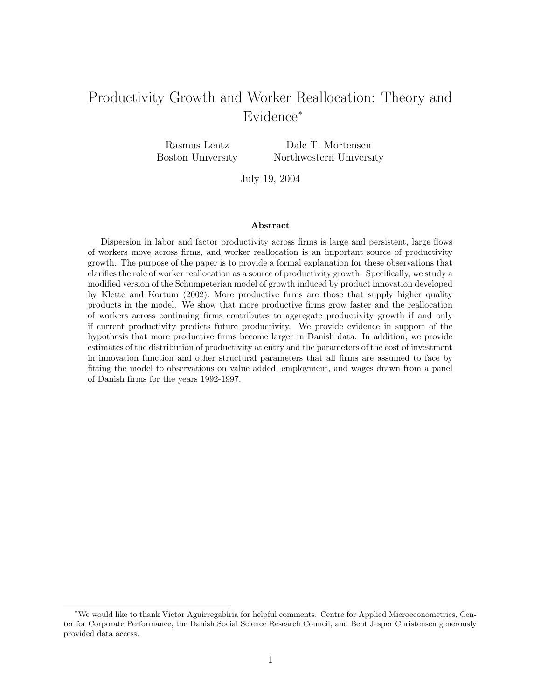# Productivity Growth and Worker Reallocation: Theory and Evidence<sup>∗</sup>

Rasmus Lentz Boston University

Dale T. Mortensen Northwestern University

July 19, 2004

#### Abstract

Dispersion in labor and factor productivity across firms is large and persistent, large flows of workers move across firms, and worker reallocation is an important source of productivity growth. The purpose of the paper is to provide a formal explanation for these observations that clarifies the role of worker reallocation as a source of productivity growth. Specifically, we study a modified version of the Schumpeterian model of growth induced by product innovation developed by Klette and Kortum (2002). More productive firms are those that supply higher quality products in the model. We show that more productive firms grow faster and the reallocation of workers across continuing firms contributes to aggregate productivity growth if and only if current productivity predicts future productivity. We provide evidence in support of the hypothesis that more productive firms become larger in Danish data. In addition, we provide estimates of the distribution of productivity at entry and the parameters of the cost of investment in innovation function and other structural parameters that all firms are assumed to face by fitting the model to observations on value added, employment, and wages drawn from a panel of Danish firms for the years 1992-1997.

<sup>∗</sup>We would like to thank Victor Aguirregabiria for helpful comments. Centre for Applied Microeconometrics, Center for Corporate Performance, the Danish Social Science Research Council, and Bent Jesper Christensen generously provided data access.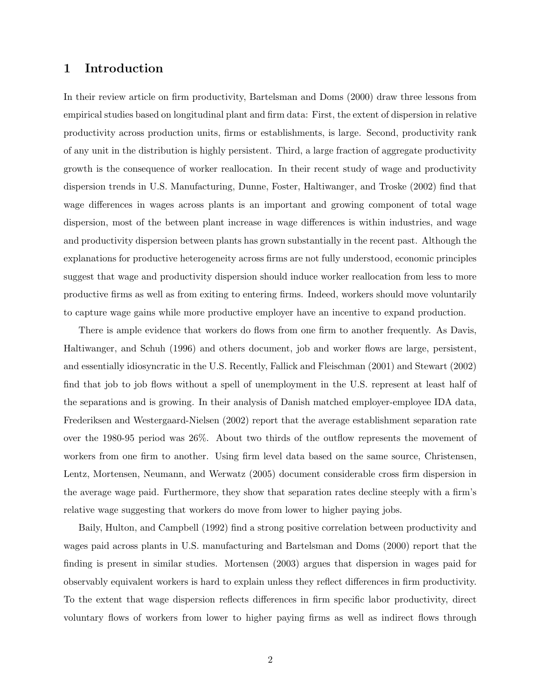## 1 Introduction

In their review article on firm productivity, Bartelsman and Doms (2000) draw three lessons from empirical studies based on longitudinal plant and firm data: First, the extent of dispersion in relative productivity across production units, firms or establishments, is large. Second, productivity rank of any unit in the distribution is highly persistent. Third, a large fraction of aggregate productivity growth is the consequence of worker reallocation. In their recent study of wage and productivity dispersion trends in U.S. Manufacturing, Dunne, Foster, Haltiwanger, and Troske (2002) find that wage differences in wages across plants is an important and growing component of total wage dispersion, most of the between plant increase in wage differences is within industries, and wage and productivity dispersion between plants has grown substantially in the recent past. Although the explanations for productive heterogeneity across firms are not fully understood, economic principles suggest that wage and productivity dispersion should induce worker reallocation from less to more productive firms as well as from exiting to entering firms. Indeed, workers should move voluntarily to capture wage gains while more productive employer have an incentive to expand production.

There is ample evidence that workers do flows from one firm to another frequently. As Davis, Haltiwanger, and Schuh (1996) and others document, job and worker flows are large, persistent, and essentially idiosyncratic in the U.S. Recently, Fallick and Fleischman (2001) and Stewart (2002) find that job to job flows without a spell of unemployment in the U.S. represent at least half of the separations and is growing. In their analysis of Danish matched employer-employee IDA data, Frederiksen and Westergaard-Nielsen (2002) report that the average establishment separation rate over the 1980-95 period was 26%. About two thirds of the outflow represents the movement of workers from one firm to another. Using firm level data based on the same source, Christensen, Lentz, Mortensen, Neumann, and Werwatz (2005) document considerable cross firm dispersion in the average wage paid. Furthermore, they show that separation rates decline steeply with a firm's relative wage suggesting that workers do move from lower to higher paying jobs.

Baily, Hulton, and Campbell (1992) find a strong positive correlation between productivity and wages paid across plants in U.S. manufacturing and Bartelsman and Doms (2000) report that the finding is present in similar studies. Mortensen (2003) argues that dispersion in wages paid for observably equivalent workers is hard to explain unless they reflect differences in firm productivity. To the extent that wage dispersion reflects differences in firm specific labor productivity, direct voluntary flows of workers from lower to higher paying firms as well as indirect flows through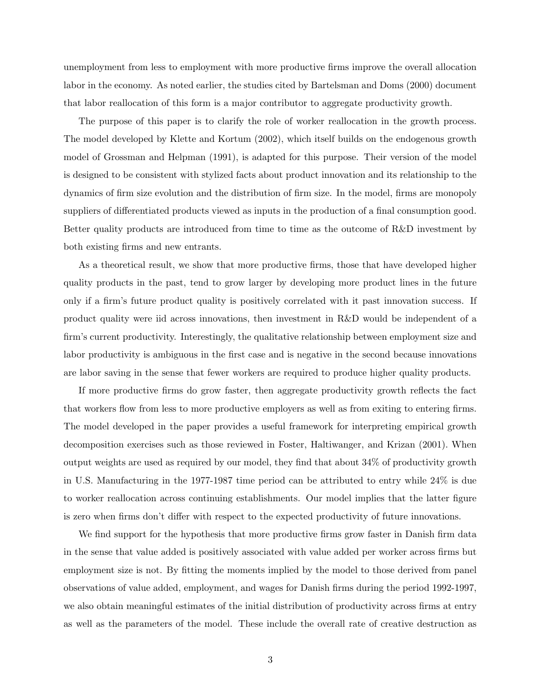unemployment from less to employment with more productive firms improve the overall allocation labor in the economy. As noted earlier, the studies cited by Bartelsman and Doms (2000) document that labor reallocation of this form is a major contributor to aggregate productivity growth.

The purpose of this paper is to clarify the role of worker reallocation in the growth process. The model developed by Klette and Kortum (2002), which itself builds on the endogenous growth model of Grossman and Helpman (1991), is adapted for this purpose. Their version of the model is designed to be consistent with stylized facts about product innovation and its relationship to the dynamics of firm size evolution and the distribution of firm size. In the model, firms are monopoly suppliers of differentiated products viewed as inputs in the production of a final consumption good. Better quality products are introduced from time to time as the outcome of R&D investment by both existing firms and new entrants.

As a theoretical result, we show that more productive firms, those that have developed higher quality products in the past, tend to grow larger by developing more product lines in the future only if a firm's future product quality is positively correlated with it past innovation success. If product quality were iid across innovations, then investment in R&D would be independent of a firm's current productivity. Interestingly, the qualitative relationship between employment size and labor productivity is ambiguous in the first case and is negative in the second because innovations are labor saving in the sense that fewer workers are required to produce higher quality products.

If more productive firms do grow faster, then aggregate productivity growth reflects the fact that workers flow from less to more productive employers as well as from exiting to entering firms. The model developed in the paper provides a useful framework for interpreting empirical growth decomposition exercises such as those reviewed in Foster, Haltiwanger, and Krizan (2001). When output weights are used as required by our model, they find that about 34% of productivity growth in U.S. Manufacturing in the 1977-1987 time period can be attributed to entry while 24% is due to worker reallocation across continuing establishments. Our model implies that the latter figure is zero when firms don't differ with respect to the expected productivity of future innovations.

We find support for the hypothesis that more productive firms grow faster in Danish firm data in the sense that value added is positively associated with value added per worker across firms but employment size is not. By fitting the moments implied by the model to those derived from panel observations of value added, employment, and wages for Danish firms during the period 1992-1997, we also obtain meaningful estimates of the initial distribution of productivity across firms at entry as well as the parameters of the model. These include the overall rate of creative destruction as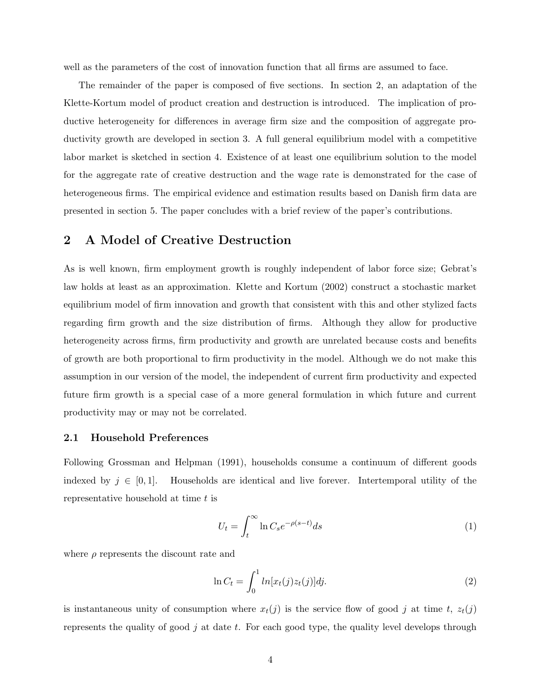well as the parameters of the cost of innovation function that all firms are assumed to face.

The remainder of the paper is composed of five sections. In section 2, an adaptation of the Klette-Kortum model of product creation and destruction is introduced. The implication of productive heterogeneity for differences in average firm size and the composition of aggregate productivity growth are developed in section 3. A full general equilibrium model with a competitive labor market is sketched in section 4. Existence of at least one equilibrium solution to the model for the aggregate rate of creative destruction and the wage rate is demonstrated for the case of heterogeneous firms. The empirical evidence and estimation results based on Danish firm data are presented in section 5. The paper concludes with a brief review of the paper's contributions.

## 2 A Model of Creative Destruction

As is well known, firm employment growth is roughly independent of labor force size; Gebrat's law holds at least as an approximation. Klette and Kortum (2002) construct a stochastic market equilibrium model of firm innovation and growth that consistent with this and other stylized facts regarding firm growth and the size distribution of firms. Although they allow for productive heterogeneity across firms, firm productivity and growth are unrelated because costs and benefits of growth are both proportional to firm productivity in the model. Although we do not make this assumption in our version of the model, the independent of current firm productivity and expected future firm growth is a special case of a more general formulation in which future and current productivity may or may not be correlated.

#### 2.1 Household Preferences

Following Grossman and Helpman (1991), households consume a continuum of different goods indexed by  $j \in [0,1]$ . Households are identical and live forever. Intertemporal utility of the representative household at time t is

$$
U_t = \int_t^{\infty} \ln C_s e^{-\rho(s-t)} ds
$$
 (1)

where  $\rho$  represents the discount rate and

$$
\ln C_t = \int_0^1 \ln[x_t(j)z_t(j)]dj. \tag{2}
$$

is instantaneous unity of consumption where  $x_t(j)$  is the service flow of good j at time t,  $z_t(j)$ represents the quality of good  $j$  at date  $t$ . For each good type, the quality level develops through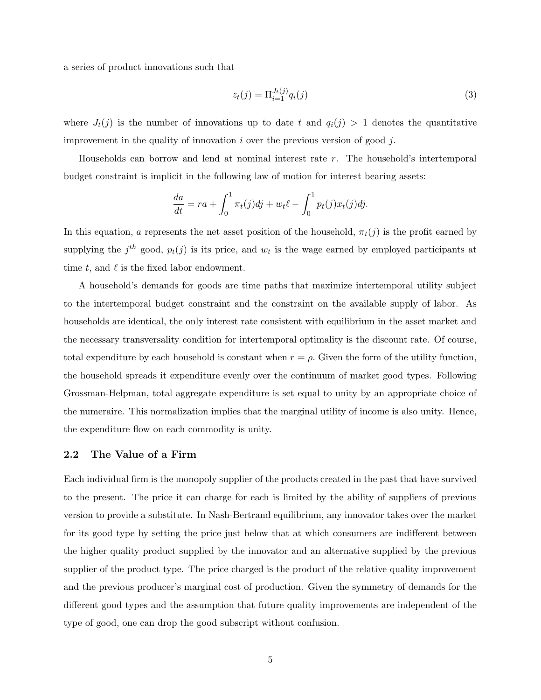a series of product innovations such that

$$
z_t(j) = \Pi_{i=1}^{J_t(j)} q_i(j)
$$
\n(3)

where  $J_t(j)$  is the number of innovations up to date t and  $q_i(j) > 1$  denotes the quantitative improvement in the quality of innovation  $i$  over the previous version of good  $j$ .

Households can borrow and lend at nominal interest rate  $r$ . The household's intertemporal budget constraint is implicit in the following law of motion for interest bearing assets:

$$
\frac{da}{dt} = ra + \int_0^1 \pi_t(j)dj + w_t \ell - \int_0^1 p_t(j)x_t(j)dj.
$$

In this equation, a represents the net asset position of the household,  $\pi_t(j)$  is the profit earned by supplying the  $j<sup>th</sup>$  good,  $p<sub>t</sub>(j)$  is its price, and  $w<sub>t</sub>$  is the wage earned by employed participants at time  $t$ , and  $\ell$  is the fixed labor endowment.

A household's demands for goods are time paths that maximize intertemporal utility subject to the intertemporal budget constraint and the constraint on the available supply of labor. As households are identical, the only interest rate consistent with equilibrium in the asset market and the necessary transversality condition for intertemporal optimality is the discount rate. Of course, total expenditure by each household is constant when  $r = \rho$ . Given the form of the utility function, the household spreads it expenditure evenly over the continuum of market good types. Following Grossman-Helpman, total aggregate expenditure is set equal to unity by an appropriate choice of the numeraire. This normalization implies that the marginal utility of income is also unity. Hence, the expenditure flow on each commodity is unity.

#### 2.2 The Value of a Firm

Each individual firm is the monopoly supplier of the products created in the past that have survived to the present. The price it can charge for each is limited by the ability of suppliers of previous version to provide a substitute. In Nash-Bertrand equilibrium, any innovator takes over the market for its good type by setting the price just below that at which consumers are indifferent between the higher quality product supplied by the innovator and an alternative supplied by the previous supplier of the product type. The price charged is the product of the relative quality improvement and the previous producer's marginal cost of production. Given the symmetry of demands for the different good types and the assumption that future quality improvements are independent of the type of good, one can drop the good subscript without confusion.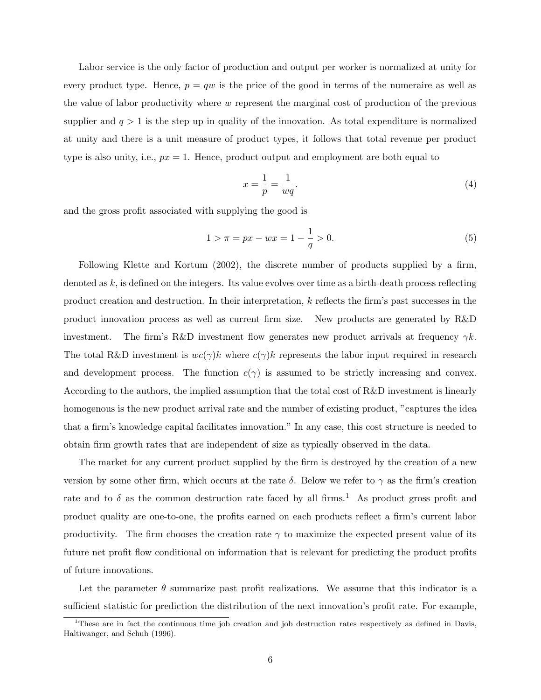Labor service is the only factor of production and output per worker is normalized at unity for every product type. Hence,  $p = qw$  is the price of the good in terms of the numeraire as well as the value of labor productivity where w represent the marginal cost of production of the previous supplier and  $q > 1$  is the step up in quality of the innovation. As total expenditure is normalized at unity and there is a unit measure of product types, it follows that total revenue per product type is also unity, i.e.,  $px = 1$ . Hence, product output and employment are both equal to

$$
x = \frac{1}{p} = \frac{1}{wq}.\tag{4}
$$

and the gross profit associated with supplying the good is

$$
1 > \pi = px - wx = 1 - \frac{1}{q} > 0.
$$
\n<sup>(5)</sup>

Following Klette and Kortum (2002), the discrete number of products supplied by a firm, denoted as  $k$ , is defined on the integers. Its value evolves over time as a birth-death process reflecting product creation and destruction. In their interpretation, k reflects the firm's past successes in the product innovation process as well as current firm size. New products are generated by R&D investment. The firm's R&D investment flow generates new product arrivals at frequency  $\gamma k$ . The total R&D investment is  $wc(\gamma)k$  where  $c(\gamma)k$  represents the labor input required in research and development process. The function  $c(\gamma)$  is assumed to be strictly increasing and convex. According to the authors, the implied assumption that the total cost of R&D investment is linearly homogenous is the new product arrival rate and the number of existing product, "captures the idea that a firm's knowledge capital facilitates innovation." In any case, this cost structure is needed to obtain firm growth rates that are independent of size as typically observed in the data.

The market for any current product supplied by the firm is destroyed by the creation of a new version by some other firm, which occurs at the rate  $\delta$ . Below we refer to  $\gamma$  as the firm's creation rate and to  $\delta$  as the common destruction rate faced by all firms.<sup>1</sup> As product gross profit and product quality are one-to-one, the profits earned on each products reflect a firm's current labor productivity. The firm chooses the creation rate  $\gamma$  to maximize the expected present value of its future net profit flow conditional on information that is relevant for predicting the product profits of future innovations.

Let the parameter  $\theta$  summarize past profit realizations. We assume that this indicator is a sufficient statistic for prediction the distribution of the next innovation's profit rate. For example,

 $1$ These are in fact the continuous time job creation and job destruction rates respectively as defined in Davis, Haltiwanger, and Schuh (1996).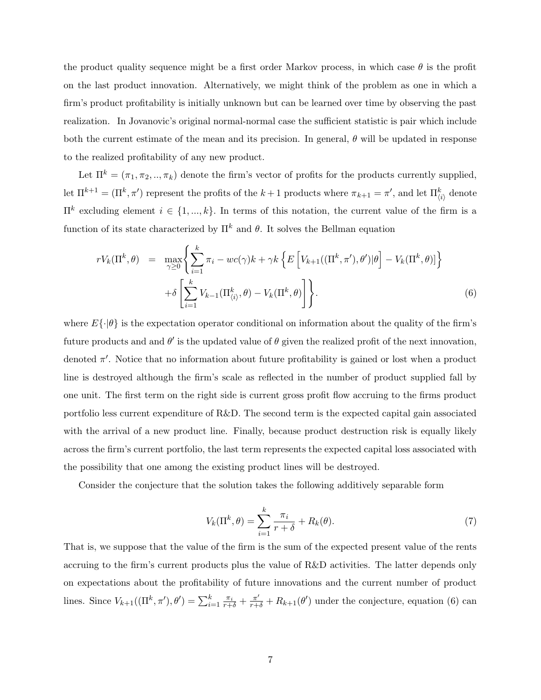the product quality sequence might be a first order Markov process, in which case  $\theta$  is the profit on the last product innovation. Alternatively, we might think of the problem as one in which a firm's product profitability is initially unknown but can be learned over time by observing the past realization. In Jovanovic's original normal-normal case the sufficient statistic is pair which include both the current estimate of the mean and its precision. In general,  $\theta$  will be updated in response to the realized profitability of any new product.

Let  $\Pi^k = (\pi_1, \pi_2, ..., \pi_k)$  denote the firm's vector of profits for the products currently supplied, Let  $\Pi^{k+1} = (\Pi^k, \pi')$  represent the profits of the  $k+1$  products where  $\pi_{k+1} = \pi'$ , and let  $\Pi_{\langle i \rangle}^k$  denote  $\Pi^k$  excluding element  $i \in \{1, ..., k\}$ . In terms of this notation, the current value of the firm is a function of its state characterized by  $\Pi^k$  and  $\theta$ . It solves the Bellman equation

$$
rV_k(\Pi^k, \theta) = \max_{\gamma \ge 0} \left\{ \sum_{i=1}^k \pi_i - wc(\gamma)k + \gamma k \left\{ E \left[ V_{k+1}((\Pi^k, \pi'), \theta') | \theta \right] - V_k(\Pi^k, \theta) \right] \right\} + \delta \left[ \sum_{i=1}^k V_{k-1}(\Pi^k_{\langle i \rangle}, \theta) - V_k(\Pi^k, \theta) \right] \right\}.
$$
 (6)

where  $E\{\cdot|\theta\}$  is the expectation operator conditional on information about the quality of the firm's future products and and  $\theta'$  is the updated value of  $\theta$  given the realized profit of the next innovation, denoted  $\pi'$ . Notice that no information about future profitability is gained or lost when a product line is destroyed although the firm's scale as reflected in the number of product supplied fall by one unit. The first term on the right side is current gross profit flow accruing to the firms product portfolio less current expenditure of R&D. The second term is the expected capital gain associated with the arrival of a new product line. Finally, because product destruction risk is equally likely across the firm's current portfolio, the last term represents the expected capital loss associated with the possibility that one among the existing product lines will be destroyed.

Consider the conjecture that the solution takes the following additively separable form

$$
V_k(\Pi^k, \theta) = \sum_{i=1}^k \frac{\pi_i}{r + \delta} + R_k(\theta). \tag{7}
$$

That is, we suppose that the value of the firm is the sum of the expected present value of the rents accruing to the firm's current products plus the value of R&D activities. The latter depends only on expectations about the profitability of future innovations and the current number of product lines. Since  $V_{k+1}((\Pi^k, \pi'), \theta') = \sum_{i=1}^k \frac{\pi_i}{r+\delta} + \frac{\pi'}{r+\delta} + R_{k+1}(\theta')$  under the conjecture, equation (6) can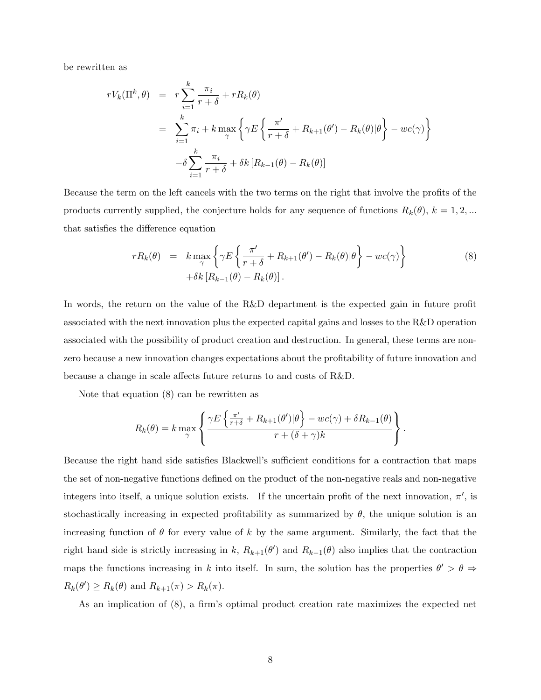be rewritten as

$$
rV_k(\Pi^k, \theta) = r \sum_{i=1}^k \frac{\pi_i}{r+\delta} + rR_k(\theta)
$$
  
= 
$$
\sum_{i=1}^k \pi_i + k \max_{\gamma} \left\{ \gamma E \left\{ \frac{\pi'}{r+\delta} + R_{k+1}(\theta') - R_k(\theta) | \theta \right\} - wc(\gamma) \right\}
$$
  

$$
- \delta \sum_{i=1}^k \frac{\pi_i}{r+\delta} + \delta k [R_{k-1}(\theta) - R_k(\theta)]
$$

Because the term on the left cancels with the two terms on the right that involve the profits of the products currently supplied, the conjecture holds for any sequence of functions  $R_k(\theta)$ ,  $k = 1, 2, ...$ that satisfies the difference equation

$$
rR_k(\theta) = k \max_{\gamma} \left\{ \gamma E \left\{ \frac{\pi'}{r+\delta} + R_{k+1}(\theta') - R_k(\theta) | \theta \right\} - wc(\gamma) \right\} + \delta k \left[ R_{k-1}(\theta) - R_k(\theta) \right].
$$
\n(8)

In words, the return on the value of the R&D department is the expected gain in future profit associated with the next innovation plus the expected capital gains and losses to the R&D operation associated with the possibility of product creation and destruction. In general, these terms are nonzero because a new innovation changes expectations about the profitability of future innovation and because a change in scale affects future returns to and costs of R&D.

Note that equation (8) can be rewritten as

$$
R_k(\theta) = k \max_{\gamma} \left\{ \frac{\gamma E \left\{ \frac{\pi'}{r+\delta} + R_{k+1}(\theta') | \theta \right\} - wc(\gamma) + \delta R_{k-1}(\theta)}{r + (\delta + \gamma)k} \right\}.
$$

Because the right hand side satisfies Blackwell's sufficient conditions for a contraction that maps the set of non-negative functions defined on the product of the non-negative reals and non-negative integers into itself, a unique solution exists. If the uncertain profit of the next innovation,  $\pi'$ , is stochastically increasing in expected profitability as summarized by  $\theta$ , the unique solution is an increasing function of  $\theta$  for every value of k by the same argument. Similarly, the fact that the right hand side is strictly increasing in k,  $R_{k+1}(\theta')$  and  $R_{k-1}(\theta)$  also implies that the contraction maps the functions increasing in k into itself. In sum, the solution has the properties  $\theta' > \theta \Rightarrow$  $R_k(\theta') \ge R_k(\theta)$  and  $R_{k+1}(\pi) > R_k(\pi)$ .

As an implication of (8), a firm's optimal product creation rate maximizes the expected net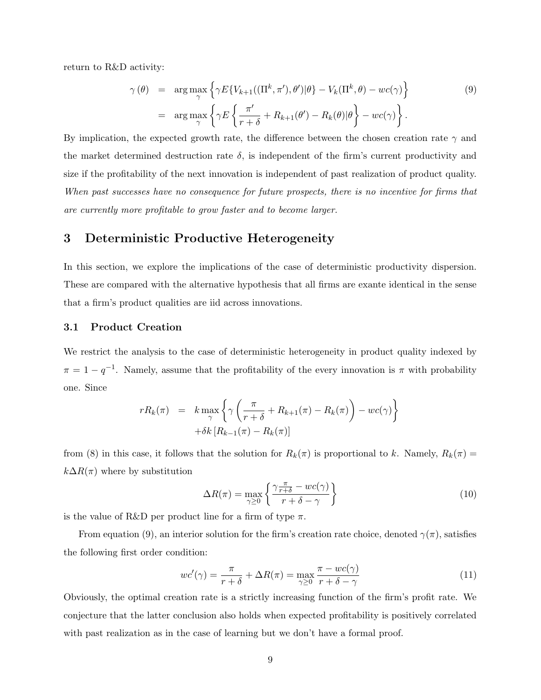return to R&D activity:

$$
\gamma(\theta) = \arg \max_{\gamma} \left\{ \gamma E \{ V_{k+1}((\Pi^k, \pi'), \theta') | \theta \} - V_k(\Pi^k, \theta) - wc(\gamma) \right\}
$$
\n
$$
= \arg \max_{\gamma} \left\{ \gamma E \left\{ \frac{\pi'}{r+\delta} + R_{k+1}(\theta') - R_k(\theta) | \theta \right\} - wc(\gamma) \right\}.
$$
\n(9)

By implication, the expected growth rate, the difference between the chosen creation rate  $\gamma$  and the market determined destruction rate  $\delta$ , is independent of the firm's current productivity and size if the profitability of the next innovation is independent of past realization of product quality. When past successes have no consequence for future prospects, there is no incentive for firms that are currently more profitable to grow faster and to become larger.

## 3 Deterministic Productive Heterogeneity

In this section, we explore the implications of the case of deterministic productivity dispersion. These are compared with the alternative hypothesis that all firms are exante identical in the sense that a firm's product qualities are iid across innovations.

#### 3.1 Product Creation

We restrict the analysis to the case of deterministic heterogeneity in product quality indexed by  $\pi = 1 - q^{-1}$ . Namely, assume that the profitability of the every innovation is  $\pi$  with probability one. Since

$$
rR_k(\pi) = k \max_{\gamma} \left\{ \gamma \left( \frac{\pi}{r+\delta} + R_{k+1}(\pi) - R_k(\pi) \right) - wc(\gamma) \right\}
$$

$$
+ \delta k \left[ R_{k-1}(\pi) - R_k(\pi) \right]
$$

from (8) in this case, it follows that the solution for  $R_k(\pi)$  is proportional to k. Namely,  $R_k(\pi)$  =  $k\Delta R(\pi)$  where by substitution

$$
\Delta R(\pi) = \max_{\gamma \ge 0} \left\{ \frac{\gamma \frac{\pi}{r + \delta} - wc(\gamma)}{r + \delta - \gamma} \right\} \tag{10}
$$

is the value of R&D per product line for a firm of type  $\pi$ .

From equation (9), an interior solution for the firm's creation rate choice, denoted  $\gamma(\pi)$ , satisfies the following first order condition:

$$
wc'(\gamma) = \frac{\pi}{r+\delta} + \Delta R(\pi) = \max_{\gamma \ge 0} \frac{\pi - wc(\gamma)}{r+\delta - \gamma}
$$
(11)

Obviously, the optimal creation rate is a strictly increasing function of the firm's profit rate. We conjecture that the latter conclusion also holds when expected profitability is positively correlated with past realization as in the case of learning but we don't have a formal proof.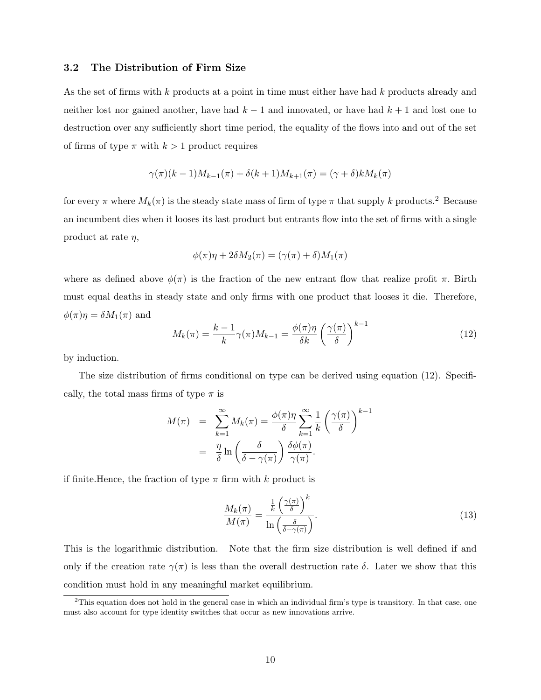#### 3.2 The Distribution of Firm Size

As the set of firms with k products at a point in time must either have had k products already and neither lost nor gained another, have had  $k-1$  and innovated, or have had  $k+1$  and lost one to destruction over any sufficiently short time period, the equality of the flows into and out of the set of firms of type  $\pi$  with  $k > 1$  product requires

$$
\gamma(\pi)(k-1)M_{k-1}(\pi) + \delta(k+1)M_{k+1}(\pi) = (\gamma + \delta)kM_k(\pi)
$$

for every  $\pi$  where  $M_k(\pi)$  is the steady state mass of firm of type  $\pi$  that supply k products.<sup>2</sup> Because an incumbent dies when it looses its last product but entrants flow into the set of firms with a single product at rate  $\eta$ ,

$$
\phi(\pi)\eta + 2\delta M_2(\pi) = (\gamma(\pi) + \delta)M_1(\pi)
$$

where as defined above  $\phi(\pi)$  is the fraction of the new entrant flow that realize profit  $\pi$ . Birth must equal deaths in steady state and only firms with one product that looses it die. Therefore,  $\phi(\pi)\eta = \delta M_1(\pi)$  and

$$
M_k(\pi) = \frac{k-1}{k} \gamma(\pi) M_{k-1} = \frac{\phi(\pi)\eta}{\delta k} \left(\frac{\gamma(\pi)}{\delta}\right)^{k-1}
$$
 (12)

by induction.

The size distribution of firms conditional on type can be derived using equation (12). Specifically, the total mass firms of type  $\pi$  is

$$
M(\pi) = \sum_{k=1}^{\infty} M_k(\pi) = \frac{\phi(\pi)\eta}{\delta} \sum_{k=1}^{\infty} \frac{1}{k} \left(\frac{\gamma(\pi)}{\delta}\right)^{k-1}
$$

$$
= \frac{\eta}{\delta} \ln \left(\frac{\delta}{\delta - \gamma(\pi)}\right) \frac{\delta\phi(\pi)}{\gamma(\pi)}.
$$

if finite.Hence, the fraction of type  $\pi$  firm with  $k$  product is

$$
\frac{M_k(\pi)}{M(\pi)} = \frac{\frac{1}{k} \left(\frac{\gamma(\pi)}{\delta}\right)^k}{\ln\left(\frac{\delta}{\delta - \gamma(\pi)}\right)}.
$$
\n(13)

This is the logarithmic distribution. Note that the firm size distribution is well defined if and only if the creation rate  $\gamma(\pi)$  is less than the overall destruction rate  $\delta$ . Later we show that this condition must hold in any meaningful market equilibrium.

<sup>2</sup>This equation does not hold in the general case in which an individual firm's type is transitory. In that case, one must also account for type identity switches that occur as new innovations arrive.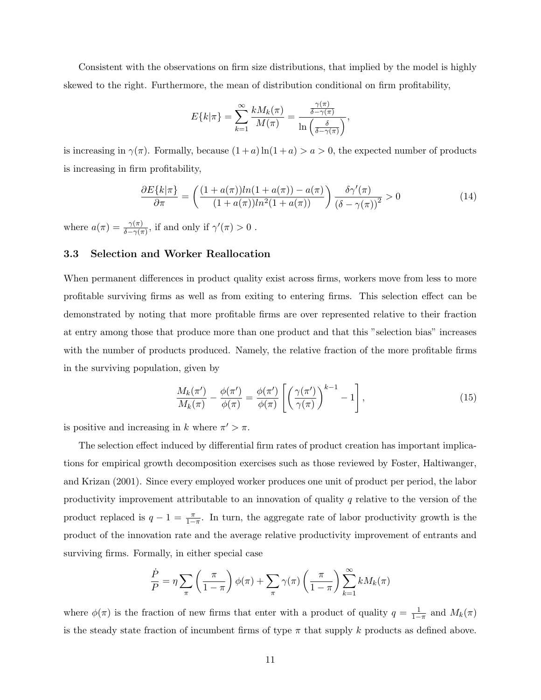Consistent with the observations on firm size distributions, that implied by the model is highly skewed to the right. Furthermore, the mean of distribution conditional on firm profitability,

$$
E\{k|\pi\} = \sum_{k=1}^{\infty} \frac{kM_k(\pi)}{M(\pi)} = \frac{\frac{\gamma(\pi)}{\delta - \gamma(\pi)}}{\ln\left(\frac{\delta}{\delta - \gamma(\pi)}\right)},
$$

is increasing in  $\gamma(\pi)$ . Formally, because  $(1 + a) \ln(1 + a) > a > 0$ , the expected number of products is increasing in firm profitability,

$$
\frac{\partial E\{k|\pi\}}{\partial \pi} = \left(\frac{(1+a(\pi))\ln(1+a(\pi)) - a(\pi)}{(1+a(\pi))\ln^2(1+a(\pi))}\right) \frac{\delta \gamma'(\pi)}{\left(\delta - \gamma(\pi)\right)^2} > 0\tag{14}
$$

where  $a(\pi) = \frac{\gamma(\pi)}{\delta - \gamma(\pi)}$  $\frac{\gamma(\pi)}{\delta - \gamma(\pi)}$ , if and only if  $\gamma'(\pi) > 0$ .

### 3.3 Selection and Worker Reallocation

When permanent differences in product quality exist across firms, workers move from less to more profitable surviving firms as well as from exiting to entering firms. This selection effect can be demonstrated by noting that more profitable firms are over represented relative to their fraction at entry among those that produce more than one product and that this "selection bias" increases with the number of products produced. Namely, the relative fraction of the more profitable firms in the surviving population, given by

$$
\frac{M_k(\pi')}{M_k(\pi)} - \frac{\phi(\pi')}{\phi(\pi)} = \frac{\phi(\pi')}{\phi(\pi)} \left[ \left( \frac{\gamma(\pi')}{\gamma(\pi)} \right)^{k-1} - 1 \right],\tag{15}
$$

is positive and increasing in k where  $\pi' > \pi$ .

The selection effect induced by differential firm rates of product creation has important implications for empirical growth decomposition exercises such as those reviewed by Foster, Haltiwanger, and Krizan (2001). Since every employed worker produces one unit of product per period, the labor productivity improvement attributable to an innovation of quality  $q$  relative to the version of the product replaced is  $q-1=\frac{\pi}{1-}$  $\frac{\pi}{1-\pi}$ . In turn, the aggregate rate of labor productivity growth is the product of the innovation rate and the average relative productivity improvement of entrants and surviving firms. Formally, in either special case

$$
\frac{\dot{P}}{P} = \eta \sum_{\pi} \left( \frac{\pi}{1 - \pi} \right) \phi(\pi) + \sum_{\pi} \gamma(\pi) \left( \frac{\pi}{1 - \pi} \right) \sum_{k=1}^{\infty} k M_k(\pi)
$$

where  $\phi(\pi)$  is the fraction of new firms that enter with a product of quality  $q = \frac{1}{1-\pi}$  and  $M_k(\pi)$ is the steady state fraction of incumbent firms of type  $\pi$  that supply k products as defined above.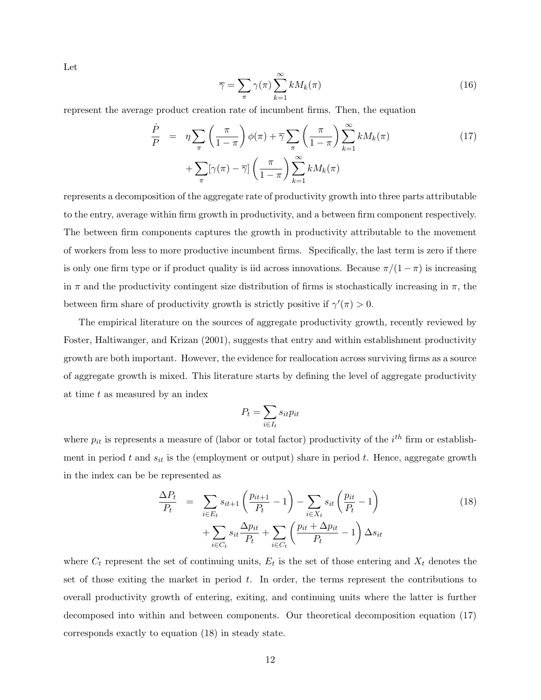Let

$$
\overline{\gamma} = \sum_{\pi} \gamma(\pi) \sum_{k=1}^{\infty} k M_k(\pi) \tag{16}
$$

represent the average product creation rate of incumbent firms. Then, the equation

$$
\frac{\dot{P}}{P} = \eta \sum_{\pi} \left( \frac{\pi}{1 - \pi} \right) \phi(\pi) + \overline{\gamma} \sum_{\pi} \left( \frac{\pi}{1 - \pi} \right) \sum_{k=1}^{\infty} k M_k(\pi) + \sum_{\pi} [\gamma(\pi) - \overline{\gamma}] \left( \frac{\pi}{1 - \pi} \right) \sum_{k=1}^{\infty} k M_k(\pi)
$$
\n(17)

represents a decomposition of the aggregate rate of productivity growth into three parts attributable to the entry, average within firm growth in productivity, and a between firm component respectively. The between firm components captures the growth in productivity attributable to the movement of workers from less to more productive incumbent firms. Specifically, the last term is zero if there is only one firm type or if product quality is iid across innovations. Because  $\pi/(1-\pi)$  is increasing in  $\pi$  and the productivity contingent size distribution of firms is stochastically increasing in  $\pi$ , the between firm share of productivity growth is strictly positive if  $\gamma'(\pi) > 0$ .

The empirical literature on the sources of aggregate productivity growth, recently reviewed by Foster, Haltiwanger, and Krizan (2001), suggests that entry and within establishment productivity growth are both important. However, the evidence for reallocation across surviving firms as a source of aggregate growth is mixed. This literature starts by defining the level of aggregate productivity at time  $t$  as measured by an index

$$
P_t = \sum_{i \in I_t} s_{it} p_{it}
$$

where  $p_{it}$  is represents a measure of (labor or total factor) productivity of the  $i^{th}$  firm or establishment in period t and  $s_{it}$  is the (employment or output) share in period t. Hence, aggregate growth in the index can be be represented as

$$
\frac{\Delta P_t}{P_t} = \sum_{i \in E_t} s_{it+1} \left( \frac{p_{it+1}}{P_t} - 1 \right) - \sum_{i \in X_t} s_{it} \left( \frac{p_{it}}{P_t} - 1 \right) + \sum_{i \in C_t} s_{it} \frac{\Delta p_{it}}{P_t} + \sum_{i \in C_t} \left( \frac{p_{it} + \Delta p_{it}}{P_t} - 1 \right) \Delta s_{it}
$$
\n(18)

where  $C_t$  represent the set of continuing units,  $E_t$  is the set of those entering and  $X_t$  denotes the set of those exiting the market in period  $t$ . In order, the terms represent the contributions to overall productivity growth of entering, exiting, and continuing units where the latter is further decomposed into within and between components. Our theoretical decomposition equation (17) corresponds exactly to equation (18) in steady state.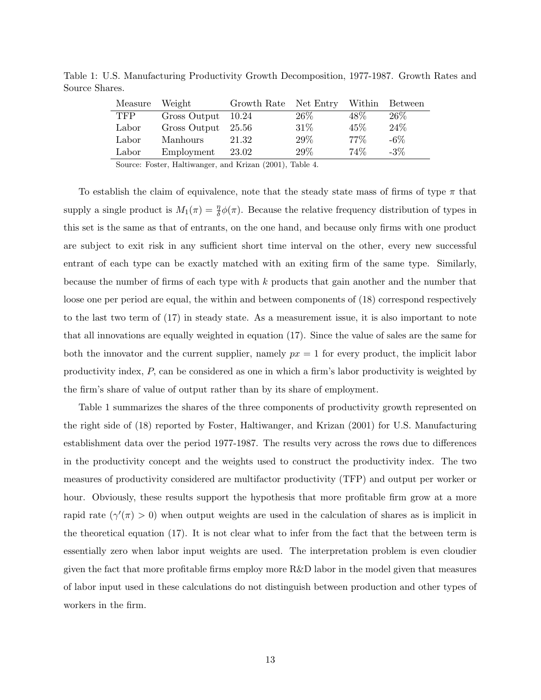| Measure | Weight       | Growth Rate Net Entry |        | Within | Between |
|---------|--------------|-----------------------|--------|--------|---------|
| TFP     | Gross Output | 10.24                 | 26\%   | 48\%   | $26\%$  |
| Labor   | Gross Output | 25.56                 | $31\%$ | 45\%   | 24\%    |
| Labor   | Manhours     | 21.32                 | 29%    | 77\%   | $-6\%$  |
| Labor   | Employment   | 23.02                 | 29%    | 74\%   | $-3\%$  |

Table 1: U.S. Manufacturing Productivity Growth Decomposition, 1977-1987. Growth Rates and Source Shares.

Source: Foster, Haltiwanger, and Krizan (2001), Table 4.

To establish the claim of equivalence, note that the steady state mass of firms of type  $\pi$  that supply a single product is  $M_1(\pi) = \frac{\eta}{\delta}$  $\frac{\eta}{\delta}\phi(\pi)$ . Because the relative frequency distribution of types in this set is the same as that of entrants, on the one hand, and because only firms with one product are subject to exit risk in any sufficient short time interval on the other, every new successful entrant of each type can be exactly matched with an exiting firm of the same type. Similarly, because the number of firms of each type with k products that gain another and the number that loose one per period are equal, the within and between components of (18) correspond respectively to the last two term of (17) in steady state. As a measurement issue, it is also important to note that all innovations are equally weighted in equation (17). Since the value of sales are the same for both the innovator and the current supplier, namely  $px = 1$  for every product, the implicit labor productivity index, P, can be considered as one in which a firm's labor productivity is weighted by the firm's share of value of output rather than by its share of employment.

Table 1 summarizes the shares of the three components of productivity growth represented on the right side of (18) reported by Foster, Haltiwanger, and Krizan (2001) for U.S. Manufacturing establishment data over the period 1977-1987. The results very across the rows due to differences in the productivity concept and the weights used to construct the productivity index. The two measures of productivity considered are multifactor productivity (TFP) and output per worker or hour. Obviously, these results support the hypothesis that more profitable firm grow at a more rapid rate  $(\gamma'(\pi) > 0)$  when output weights are used in the calculation of shares as is implicit in the theoretical equation (17). It is not clear what to infer from the fact that the between term is essentially zero when labor input weights are used. The interpretation problem is even cloudier given the fact that more profitable firms employ more R&D labor in the model given that measures of labor input used in these calculations do not distinguish between production and other types of workers in the firm.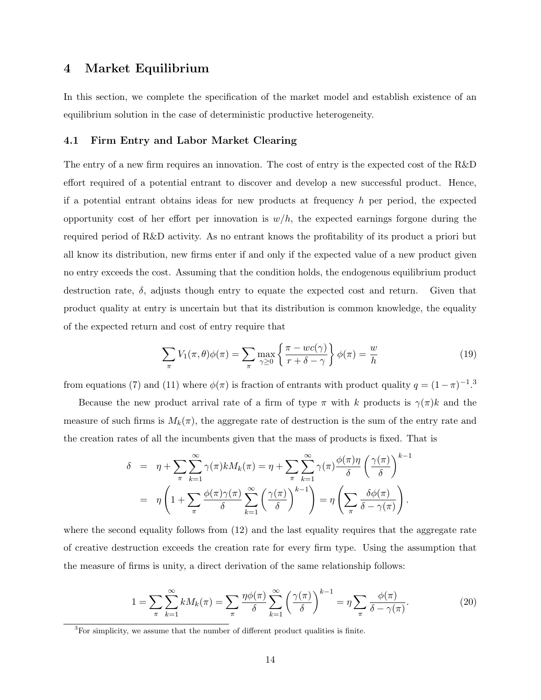## 4 Market Equilibrium

In this section, we complete the specification of the market model and establish existence of an equilibrium solution in the case of deterministic productive heterogeneity.

#### 4.1 Firm Entry and Labor Market Clearing

The entry of a new firm requires an innovation. The cost of entry is the expected cost of the R&D effort required of a potential entrant to discover and develop a new successful product. Hence, if a potential entrant obtains ideas for new products at frequency  $h$  per period, the expected opportunity cost of her effort per innovation is  $w/h$ , the expected earnings forgone during the required period of R&D activity. As no entrant knows the profitability of its product a priori but all know its distribution, new firms enter if and only if the expected value of a new product given no entry exceeds the cost. Assuming that the condition holds, the endogenous equilibrium product destruction rate,  $\delta$ , adjusts though entry to equate the expected cost and return. Given that product quality at entry is uncertain but that its distribution is common knowledge, the equality of the expected return and cost of entry require that

$$
\sum_{\pi} V_1(\pi, \theta) \phi(\pi) = \sum_{\pi} \max_{\gamma \ge 0} \left\{ \frac{\pi - wc(\gamma)}{r + \delta - \gamma} \right\} \phi(\pi) = \frac{w}{h}
$$
(19)

from equations (7) and (11) where  $\phi(\pi)$  is fraction of entrants with product quality  $q = (1 - \pi)^{-1}$ .<sup>3</sup>

Because the new product arrival rate of a firm of type  $\pi$  with k products is  $\gamma(\pi)$ k and the measure of such firms is  $M_k(\pi)$ , the aggregate rate of destruction is the sum of the entry rate and the creation rates of all the incumbents given that the mass of products is fixed. That is

$$
\delta = \eta + \sum_{\pi} \sum_{k=1}^{\infty} \gamma(\pi) k M_k(\pi) = \eta + \sum_{\pi} \sum_{k=1}^{\infty} \gamma(\pi) \frac{\phi(\pi) \eta}{\delta} \left(\frac{\gamma(\pi)}{\delta}\right)^{k-1}
$$

$$
= \eta \left(1 + \sum_{\pi} \frac{\phi(\pi) \gamma(\pi)}{\delta} \sum_{k=1}^{\infty} \left(\frac{\gamma(\pi)}{\delta}\right)^{k-1}\right) = \eta \left(\sum_{\pi} \frac{\delta \phi(\pi)}{\delta - \gamma(\pi)}\right).
$$

where the second equality follows from  $(12)$  and the last equality requires that the aggregate rate of creative destruction exceeds the creation rate for every firm type. Using the assumption that the measure of firms is unity, a direct derivation of the same relationship follows:

$$
1 = \sum_{\pi} \sum_{k=1}^{\infty} k M_k(\pi) = \sum_{\pi} \frac{\eta \phi(\pi)}{\delta} \sum_{k=1}^{\infty} \left(\frac{\gamma(\pi)}{\delta}\right)^{k-1} = \eta \sum_{\pi} \frac{\phi(\pi)}{\delta - \gamma(\pi)}.
$$
 (20)

 ${}^{3}$ For simplicity, we assume that the number of different product qualities is finite.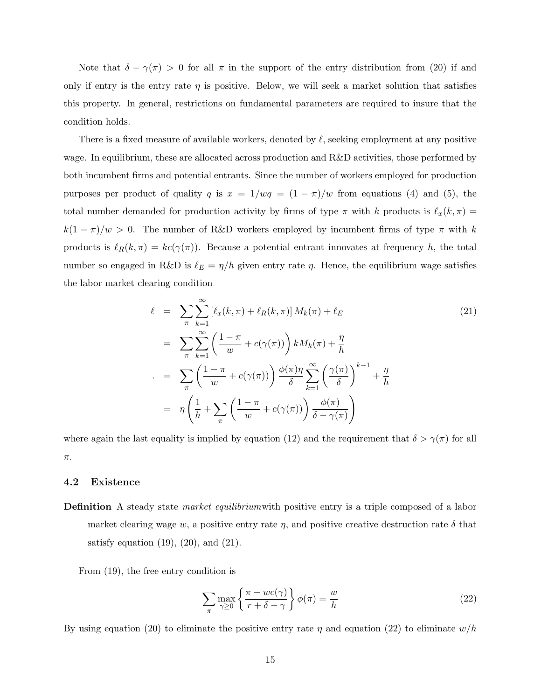Note that  $\delta - \gamma(\pi) > 0$  for all  $\pi$  in the support of the entry distribution from (20) if and only if entry is the entry rate  $\eta$  is positive. Below, we will seek a market solution that satisfies this property. In general, restrictions on fundamental parameters are required to insure that the condition holds.

There is a fixed measure of available workers, denoted by  $\ell$ , seeking employment at any positive wage. In equilibrium, these are allocated across production and R&D activities, those performed by both incumbent firms and potential entrants. Since the number of workers employed for production purposes per product of quality q is  $x = 1/wq = (1 - \pi)/w$  from equations (4) and (5), the total number demanded for production activity by firms of type  $\pi$  with k products is  $\ell_x(k, \pi) =$  $k(1 - \pi)/w > 0$ . The number of R&D workers employed by incumbent firms of type  $\pi$  with k products is  $\ell_R(k, \pi) = kc(\gamma(\pi))$ . Because a potential entrant innovates at frequency h, the total number so engaged in R&D is  $\ell_E = \eta/h$  given entry rate  $\eta$ . Hence, the equilibrium wage satisfies the labor market clearing condition

$$
\ell = \sum_{\pi} \sum_{k=1}^{\infty} \left[ \ell_x(k,\pi) + \ell_R(k,\pi) \right] M_k(\pi) + \ell_E
$$
\n
$$
= \sum_{\pi} \sum_{k=1}^{\infty} \left( \frac{1-\pi}{w} + c(\gamma(\pi)) \right) k M_k(\pi) + \frac{\eta}{h}
$$
\n
$$
= \sum_{\pi} \left( \frac{1-\pi}{w} + c(\gamma(\pi)) \right) \frac{\phi(\pi)\eta}{\delta} \sum_{k=1}^{\infty} \left( \frac{\gamma(\pi)}{\delta} \right)^{k-1} + \frac{\eta}{h}
$$
\n
$$
= \eta \left( \frac{1}{h} + \sum_{\pi} \left( \frac{1-\pi}{w} + c(\gamma(\pi)) \right) \frac{\phi(\pi)}{\delta - \gamma(\pi)} \right)
$$
\n(21)

where again the last equality is implied by equation (12) and the requirement that  $\delta > \gamma(\pi)$  for all  $\pi.$ 

#### 4.2 Existence

**Definition** A steady state *market equilibrium* with positive entry is a triple composed of a labor market clearing wage w, a positive entry rate  $\eta$ , and positive creative destruction rate  $\delta$  that satisfy equation  $(19)$ ,  $(20)$ , and  $(21)$ .

From (19), the free entry condition is

$$
\sum_{\pi} \max_{\gamma \ge 0} \left\{ \frac{\pi - wc(\gamma)}{r + \delta - \gamma} \right\} \phi(\pi) = \frac{w}{h}
$$
\n(22)

By using equation (20) to eliminate the positive entry rate  $\eta$  and equation (22) to eliminate  $w/h$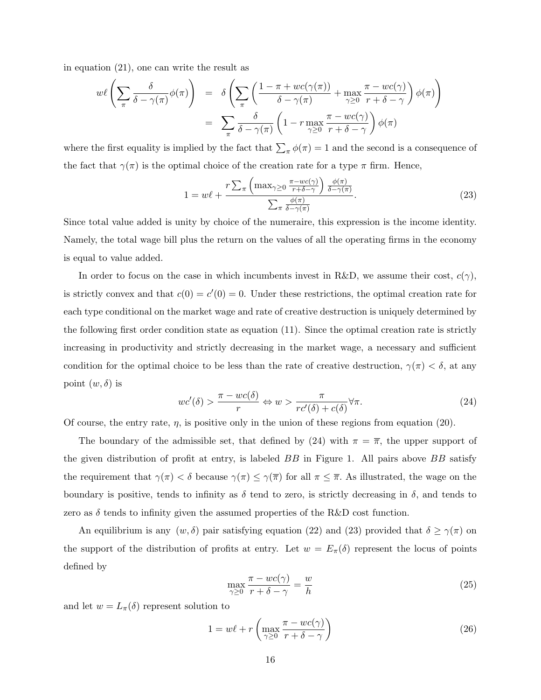in equation (21), one can write the result as

$$
w\ell\left(\sum_{\pi}\frac{\delta}{\delta-\gamma(\pi)}\phi(\pi)\right) = \delta\left(\sum_{\pi}\left(\frac{1-\pi+w\epsilon(\gamma(\pi))}{\delta-\gamma(\pi)}+\max_{\gamma\geq 0}\frac{\pi-w\epsilon(\gamma)}{r+\delta-\gamma}\right)\phi(\pi)\right)
$$

$$
= \sum_{\pi}\frac{\delta}{\delta-\gamma(\pi)}\left(1-r\max_{\gamma\geq 0}\frac{\pi-w\epsilon(\gamma)}{r+\delta-\gamma}\right)\phi(\pi)
$$

where the first equality is implied by the fact that  $\sum_{\pi} \phi(\pi) = 1$  and the second is a consequence of the fact that  $\gamma(\pi)$  is the optimal choice of the creation rate for a type  $\pi$  firm. Hence,

$$
1 = w\ell + \frac{r\sum_{\pi} \left(\max_{\gamma \geq 0} \frac{\pi - wc(\gamma)}{r + \delta - \gamma}\right) \frac{\phi(\pi)}{\delta - \gamma(\pi)}}{\sum_{\pi} \frac{\phi(\pi)}{\delta - \gamma(\pi)}}.
$$
(23)

Since total value added is unity by choice of the numeraire, this expression is the income identity. Namely, the total wage bill plus the return on the values of all the operating firms in the economy is equal to value added.

In order to focus on the case in which incumbents invest in R&D, we assume their cost,  $c(\gamma)$ , is strictly convex and that  $c(0) = c'(0) = 0$ . Under these restrictions, the optimal creation rate for each type conditional on the market wage and rate of creative destruction is uniquely determined by the following first order condition state as equation (11). Since the optimal creation rate is strictly increasing in productivity and strictly decreasing in the market wage, a necessary and sufficient condition for the optimal choice to be less than the rate of creative destruction,  $\gamma(\pi) < \delta$ , at any point  $(w, \delta)$  is

$$
wc'(\delta) > \frac{\pi - wc(\delta)}{r} \Leftrightarrow w > \frac{\pi}{rc'(\delta) + c(\delta)} \forall \pi.
$$
 (24)

Of course, the entry rate,  $\eta$ , is positive only in the union of these regions from equation (20).

The boundary of the admissible set, that defined by (24) with  $\pi = \overline{\pi}$ , the upper support of the given distribution of profit at entry, is labeled  $BB$  in Figure 1. All pairs above  $BB$  satisfy the requirement that  $\gamma(\pi) < \delta$  because  $\gamma(\pi) \leq \gamma(\overline{\pi})$  for all  $\pi \leq \overline{\pi}$ . As illustrated, the wage on the boundary is positive, tends to infinity as  $\delta$  tend to zero, is strictly decreasing in  $\delta$ , and tends to zero as  $\delta$  tends to infinity given the assumed properties of the R&D cost function.

An equilibrium is any  $(w, \delta)$  pair satisfying equation (22) and (23) provided that  $\delta \geq \gamma(\pi)$  on the support of the distribution of profits at entry. Let  $w = E_{\pi}(\delta)$  represent the locus of points defined by

$$
\max_{\gamma \ge 0} \frac{\pi - wc(\gamma)}{r + \delta - \gamma} = \frac{w}{h}
$$
\n(25)

and let  $w = L_{\pi}(\delta)$  represent solution to

$$
1 = w\ell + r \left( \max_{\gamma \ge 0} \frac{\pi - wc(\gamma)}{r + \delta - \gamma} \right) \tag{26}
$$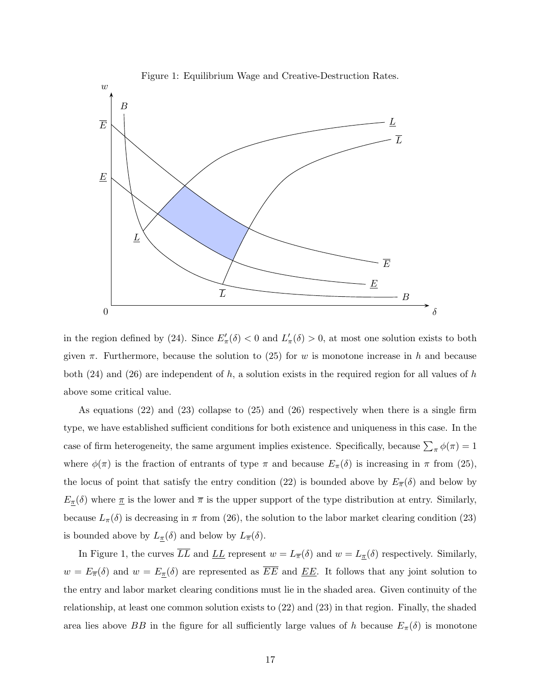

in the region defined by (24). Since  $E'_{\pi}(\delta) < 0$  and  $L'_{\pi}(\delta) > 0$ , at most one solution exists to both given  $\pi$ . Furthermore, because the solution to (25) for w is monotone increase in h and because both  $(24)$  and  $(26)$  are independent of h, a solution exists in the required region for all values of h above some critical value.

As equations (22) and (23) collapse to (25) and (26) respectively when there is a single firm type, we have established sufficient conditions for both existence and uniqueness in this case. In the case of firm heterogeneity, the same argument implies existence. Specifically, because  $\sum_{\pi} \phi(\pi) = 1$ where  $\phi(\pi)$  is the fraction of entrants of type  $\pi$  and because  $E_{\pi}(\delta)$  is increasing in  $\pi$  from (25), the locus of point that satisfy the entry condition (22) is bounded above by  $E_{\overline{x}}(\delta)$  and below by  $E_{\underline{\pi}}(\delta)$  where  $\underline{\pi}$  is the lower and  $\overline{\pi}$  is the upper support of the type distribution at entry. Similarly, because  $L_{\pi}(\delta)$  is decreasing in  $\pi$  from (26), the solution to the labor market clearing condition (23) is bounded above by  $L_{\underline{\pi}}(\delta)$  and below by  $L_{\overline{\pi}}(\delta)$ .

In Figure 1, the curves  $\overline{LL}$  and  $\underline{LL}$  represent  $w = L_{\overline{\pi}}(\delta)$  and  $w = L_{\underline{\pi}}(\delta)$  respectively. Similarly,  $w = E_{\overline{\pi}}(\delta)$  and  $w = E_{\underline{\pi}}(\delta)$  are represented as  $\overline{EE}$  and  $\overline{EE}$ . It follows that any joint solution to the entry and labor market clearing conditions must lie in the shaded area. Given continuity of the relationship, at least one common solution exists to (22) and (23) in that region. Finally, the shaded area lies above BB in the figure for all sufficiently large values of h because  $E_{\pi}(\delta)$  is monotone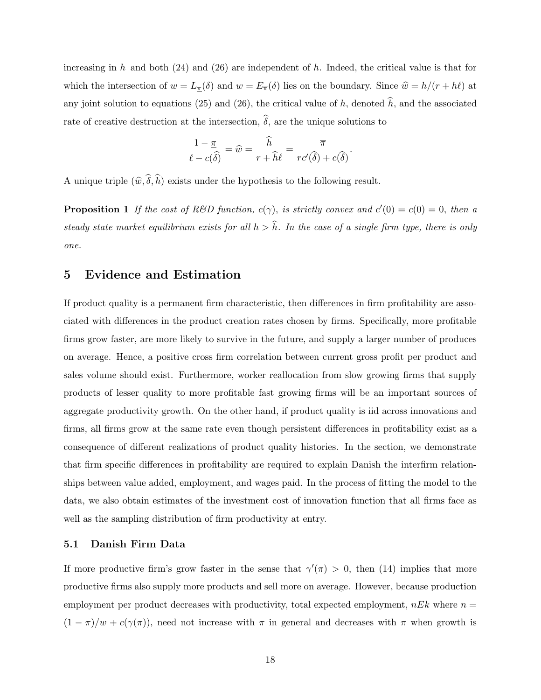increasing in h and both  $(24)$  and  $(26)$  are independent of h. Indeed, the critical value is that for which the intersection of  $w = L_{\overline{x}}(\delta)$  and  $w = E_{\overline{x}}(\delta)$  lies on the boundary. Since  $\widehat{w} = h/(r + h\ell)$  at any joint solution to equations (25) and (26), the critical value of h, denoted  $\hat{h}$ , and the associated rate of creative destruction at the intersection,  $\widehat{\delta}$ , are the unique solutions to

$$
\frac{1-\underline{\pi}}{\ell-c(\widehat{\delta})}=\widehat{w}=\frac{\widehat{h}}{r+\widehat{h}\ell}=\frac{\overline{\pi}}{rc'(\widehat{\delta})+c(\widehat{\delta})}.
$$

A unique triple  $(\widehat{w}, \widehat{\delta}, \widehat{h})$  exists under the hypothesis to the following result.

**Proposition 1** If the cost of R&D function,  $c(\gamma)$ , is strictly convex and  $c'(0) = c(0) = 0$ , then a steady state market equilibrium exists for all  $h > \hat{h}$ . In the case of a single firm type, there is only one.

## 5 Evidence and Estimation

If product quality is a permanent firm characteristic, then differences in firm profitability are associated with differences in the product creation rates chosen by firms. Specifically, more profitable firms grow faster, are more likely to survive in the future, and supply a larger number of produces on average. Hence, a positive cross firm correlation between current gross profit per product and sales volume should exist. Furthermore, worker reallocation from slow growing firms that supply products of lesser quality to more profitable fast growing firms will be an important sources of aggregate productivity growth. On the other hand, if product quality is iid across innovations and firms, all firms grow at the same rate even though persistent differences in profitability exist as a consequence of different realizations of product quality histories. In the section, we demonstrate that firm specific differences in profitability are required to explain Danish the interfirm relationships between value added, employment, and wages paid. In the process of fitting the model to the data, we also obtain estimates of the investment cost of innovation function that all firms face as well as the sampling distribution of firm productivity at entry.

#### 5.1 Danish Firm Data

If more productive firm's grow faster in the sense that  $\gamma'(\pi) > 0$ , then (14) implies that more productive firms also supply more products and sell more on average. However, because production employment per product decreases with productivity, total expected employment,  $nEk$  where  $n =$  $(1 - \pi)/w + c(\gamma(\pi))$ , need not increase with  $\pi$  in general and decreases with  $\pi$  when growth is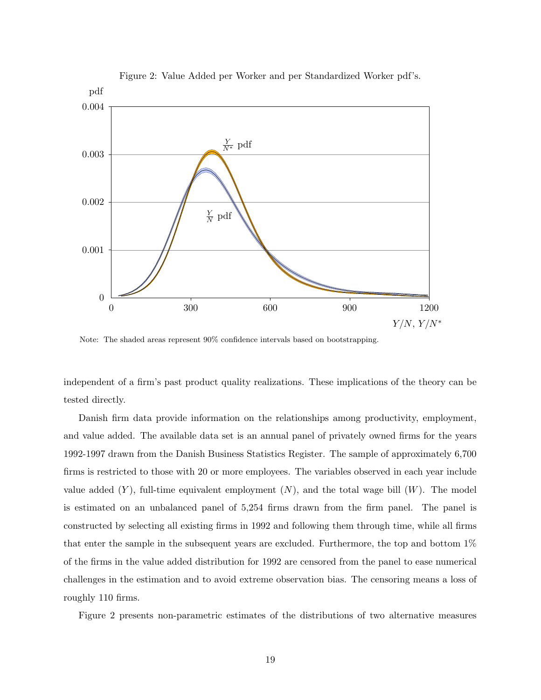

Figure 2: Value Added per Worker and per Standardized Worker pdf's.

Note: The shaded areas represent 90% confidence intervals based on bootstrapping.

independent of a firm's past product quality realizations. These implications of the theory can be tested directly.

Danish firm data provide information on the relationships among productivity, employment, and value added. The available data set is an annual panel of privately owned firms for the years 1992-1997 drawn from the Danish Business Statistics Register. The sample of approximately 6,700 firms is restricted to those with 20 or more employees. The variables observed in each year include value added  $(Y)$ , full-time equivalent employment  $(N)$ , and the total wage bill  $(W)$ . The model is estimated on an unbalanced panel of 5,254 firms drawn from the firm panel. The panel is constructed by selecting all existing firms in 1992 and following them through time, while all firms that enter the sample in the subsequent years are excluded. Furthermore, the top and bottom 1% of the firms in the value added distribution for 1992 are censored from the panel to ease numerical challenges in the estimation and to avoid extreme observation bias. The censoring means a loss of roughly 110 firms.

Figure 2 presents non-parametric estimates of the distributions of two alternative measures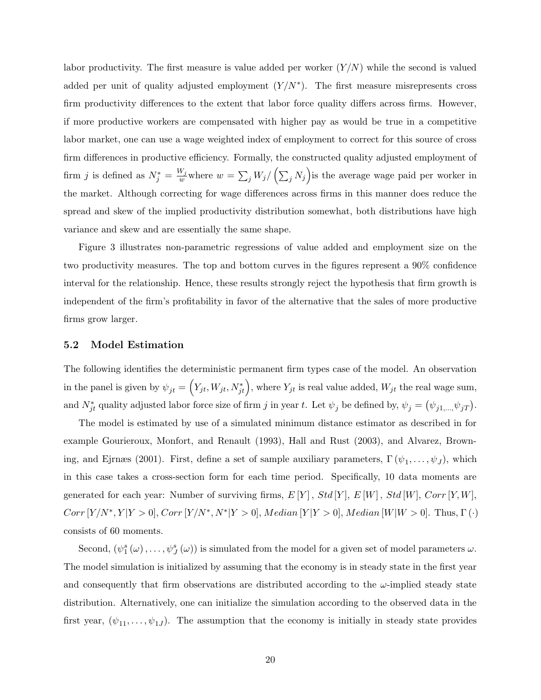labor productivity. The first measure is value added per worker  $(Y/N)$  while the second is valued added per unit of quality adjusted employment  $(Y/N^*)$ . The first measure misrepresents cross firm productivity differences to the extent that labor force quality differs across firms. However, if more productive workers are compensated with higher pay as would be true in a competitive labor market, one can use a wage weighted index of employment to correct for this source of cross firm differences in productive efficiency. Formally, the constructed quality adjusted employment of firm j is defined as  $N_j^* = \frac{W_j}{w}$  where  $w = \sum_j W_j / (\sum_j N_j)$  is the average wage paid per worker in the market. Although correcting for wage differences across firms in this manner does reduce the spread and skew of the implied productivity distribution somewhat, both distributions have high variance and skew and are essentially the same shape.

Figure 3 illustrates non-parametric regressions of value added and employment size on the two productivity measures. The top and bottom curves in the figures represent a 90% confidence interval for the relationship. Hence, these results strongly reject the hypothesis that firm growth is independent of the firm's profitability in favor of the alternative that the sales of more productive firms grow larger.

#### 5.2 Model Estimation

The following identifies the deterministic permanent firm types case of the model. An observation in the panel is given by  $\psi_{jt} = \left(Y_{jt}, W_{jt}, N^*_{jt}\right)$ ), where  $Y_{jt}$  is real value added,  $W_{jt}$  the real wage sum, and  $N_{jt}^*$  quality adjusted labor force size of firm j in year t. Let  $\psi_j$  be defined by,  $\psi_j = (\psi_{j1,\dots,\nu} \psi_{jT})$ .

The model is estimated by use of a simulated minimum distance estimator as described in for example Gourieroux, Monfort, and Renault (1993), Hall and Rust (2003), and Alvarez, Browning, and Ejrnæs (2001). First, define a set of sample auxiliary parameters,  $\Gamma(\psi_1,\ldots,\psi_J)$ , which in this case takes a cross-section form for each time period. Specifically, 10 data moments are generated for each year: Number of surviving firms,  $E[Y]$ ,  $Std[Y]$ ,  $E[W]$ ,  $Std[W]$ ,  $Corr[Y, W]$ ,  $Corr[Y/N^*,Y|Y>0], Corr[Y/N^*,N^*|Y>0], Median[Y|Y>0], Median[W|W>0]. Thus,  $\Gamma(\cdot)$$ consists of 60 moments.

Second,  $(\psi_1^s(\omega), \ldots, \psi_J^s(\omega))$  is simulated from the model for a given set of model parameters  $\omega$ . The model simulation is initialized by assuming that the economy is in steady state in the first year and consequently that firm observations are distributed according to the  $\omega$ -implied steady state distribution. Alternatively, one can initialize the simulation according to the observed data in the first year,  $(\psi_{11}, \ldots, \psi_{1J})$ . The assumption that the economy is initially in steady state provides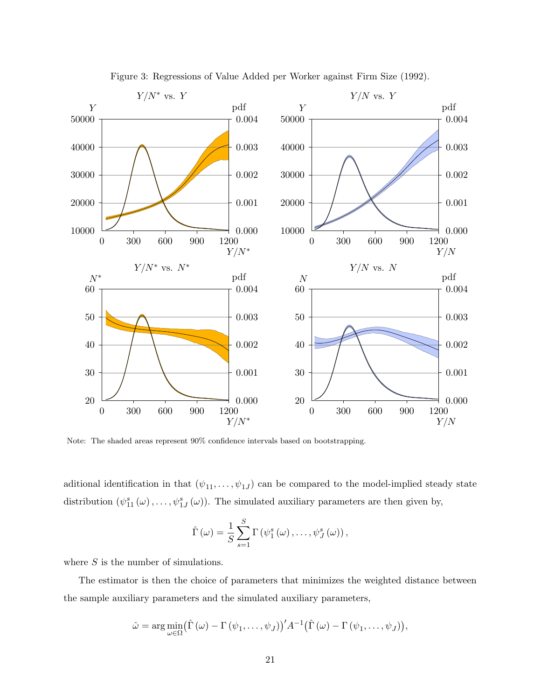

Figure 3: Regressions of Value Added per Worker against Firm Size (1992).

Note: The shaded areas represent 90% confidence intervals based on bootstrapping.

aditional identification in that  $(\psi_{11}, \dots, \psi_{1J})$  can be compared to the model-implied steady state distribution  $(\psi_{11}^s(\omega), \ldots, \psi_{1J}^s(\omega))$ . The simulated auxiliary parameters are then given by,

$$
\hat{\Gamma}(\omega) = \frac{1}{S} \sum_{s=1}^{S} \Gamma(\psi_1^s(\omega), \dots, \psi_J^s(\omega)),
$$

where  $S$  is the number of simulations.

The estimator is then the choice of parameters that minimizes the weighted distance between the sample auxiliary parameters and the simulated auxiliary parameters,

$$
\hat{\omega} = \arg\min_{\omega \in \Omega} \left( \hat{\Gamma}(\omega) - \Gamma(\psi_1, \dots, \psi_J) \right)' A^{-1} \left( \hat{\Gamma}(\omega) - \Gamma(\psi_1, \dots, \psi_J) \right),
$$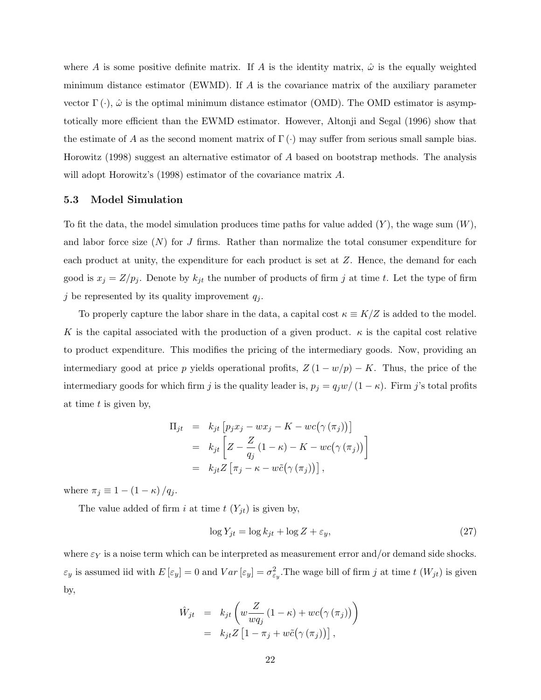where A is some positive definite matrix. If A is the identity matrix,  $\hat{\omega}$  is the equally weighted minimum distance estimator (EWMD). If  $A$  is the covariance matrix of the auxiliary parameter vector  $\Gamma(\cdot)$ ,  $\hat{\omega}$  is the optimal minimum distance estimator (OMD). The OMD estimator is asymptotically more efficient than the EWMD estimator. However, Altonji and Segal (1996) show that the estimate of A as the second moment matrix of  $\Gamma(\cdot)$  may suffer from serious small sample bias. Horowitz (1998) suggest an alternative estimator of A based on bootstrap methods. The analysis will adopt Horowitz's (1998) estimator of the covariance matrix A.

#### 5.3 Model Simulation

To fit the data, the model simulation produces time paths for value added  $(Y)$ , the wage sum  $(W)$ , and labor force size  $(N)$  for J firms. Rather than normalize the total consumer expenditure for each product at unity, the expenditure for each product is set at Z. Hence, the demand for each good is  $x_j = Z/p_j$ . Denote by  $k_{jt}$  the number of products of firm j at time t. Let the type of firm j be represented by its quality improvement  $q_i$ .

To properly capture the labor share in the data, a capital cost  $\kappa \equiv K/Z$  is added to the model. K is the capital associated with the production of a given product.  $\kappa$  is the capital cost relative to product expenditure. This modifies the pricing of the intermediary goods. Now, providing an intermediary good at price p yields operational profits,  $Z(1 - w/p) - K$ . Thus, the price of the intermediary goods for which firm j is the quality leader is,  $p_j = q_j w/(1 - \kappa)$ . Firm j's total profits at time  $t$  is given by,

$$
\Pi_{jt} = k_{jt} [p_j x_j - w x_j - K - w c (\gamma (\pi_j))]
$$
  
=  $k_{jt} [Z - \frac{Z}{q_j} (1 - \kappa) - K - w c (\gamma (\pi_j))]$   
=  $k_{jt} Z [\pi_j - \kappa - w \tilde{c} (\gamma (\pi_j))],$ 

where  $\pi_j \equiv 1 - (1 - \kappa) / q_j$ .

The value added of firm i at time  $t(Y_{jt})$  is given by,

$$
\log Y_{jt} = \log k_{jt} + \log Z + \varepsilon_y,\tag{27}
$$

where  $\varepsilon_Y$  is a noise term which can be interpreted as measurement error and/or demand side shocks.  $\varepsilon_y$  is assumed iid with  $E\left[\varepsilon_y\right]=0$  and  $Var\left[\varepsilon_y\right]=\sigma_{\varepsilon_y}^2$ . The wage bill of firm j at time  $t$   $(W_{jt})$  is given by,

$$
\hat{W}_{jt} = k_{jt} \left( w \frac{Z}{w q_j} \left( 1 - \kappa \right) + w c \left( \gamma \left( \pi_j \right) \right) \right) \n= k_{jt} Z \left[ 1 - \pi_j + w \tilde{c} \left( \gamma \left( \pi_j \right) \right) \right],
$$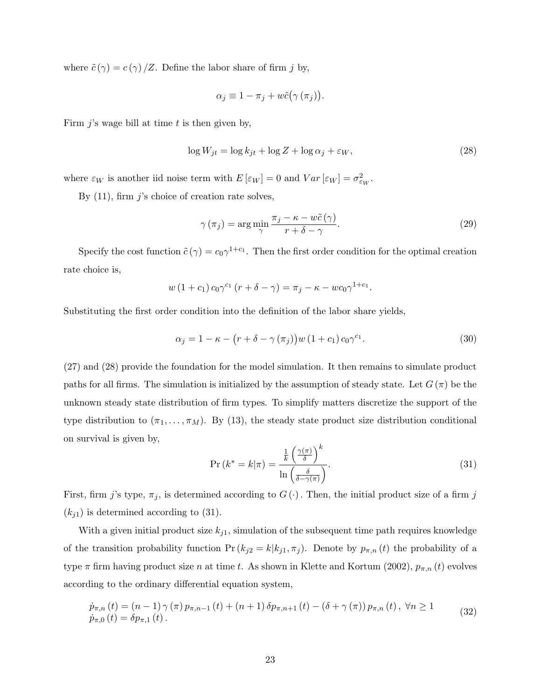where  $\tilde{c}(\gamma) = c(\gamma)/Z$ . Define the labor share of firm j by,

$$
\alpha_j \equiv 1 - \pi_j + w\tilde{c}(\gamma(\pi_j)).
$$

Firm  $j$ 's wage bill at time  $t$  is then given by,

$$
\log W_{jt} = \log k_{jt} + \log Z + \log \alpha_j + \varepsilon_W,\tag{28}
$$

where  $\varepsilon_W$  is another iid noise term with  $E\left[\varepsilon_W\right] = 0$  and  $Var\left[\varepsilon_W\right] = \sigma_{\varepsilon_W}^2$ .

By  $(11)$ , firm j's choice of creation rate solves,

$$
\gamma(\pi_j) = \arg\min_{\gamma} \frac{\pi_j - \kappa - w\tilde{c}(\gamma)}{r + \delta - \gamma}.
$$
\n(29)

Specify the cost function  $\tilde{c}(\gamma) = c_0 \gamma^{1+c_1}$ . Then the first order condition for the optimal creation rate choice is,

$$
w(1 + c_1) c_0 \gamma^{c_1} (r + \delta - \gamma) = \pi_j - \kappa - w c_0 \gamma^{1 + c_1}.
$$

Substituting the first order condition into the definition of the labor share yields,

$$
\alpha_j = 1 - \kappa - \left( r + \delta - \gamma \left( \pi_j \right) \right) w \left( 1 + c_1 \right) c_0 \gamma^{c_1}.
$$
\n(30)

(27) and (28) provide the foundation for the model simulation. It then remains to simulate product paths for all firms. The simulation is initialized by the assumption of steady state. Let  $G(\pi)$  be the unknown steady state distribution of firm types. To simplify matters discretize the support of the type distribution to  $(\pi_1, \ldots, \pi_M)$ . By (13), the steady state product size distribution conditional on survival is given by,

$$
\Pr\left(k^* = k|\pi\right) = \frac{\frac{1}{k}\left(\frac{\gamma(\pi)}{\delta}\right)^k}{\ln\left(\frac{\delta}{\delta - \gamma(\pi)}\right)}.\tag{31}
$$

First, firm j's type,  $\pi_j$ , is determined according to  $G(\cdot)$ . Then, the initial product size of a firm j  $(k_{i1})$  is determined according to (31).

With a given initial product size  $k_{j1}$ , simulation of the subsequent time path requires knowledge of the transition probability function  $Pr(k_{j2} = k|k_{j1}, \pi_j)$ . Denote by  $p_{\pi,n}(t)$  the probability of a type  $\pi$  firm having product size n at time t. As shown in Klette and Kortum (2002),  $p_{\pi,n}(t)$  evolves according to the ordinary differential equation system,

$$
\dot{p}_{\pi,n}(t) = (n-1)\gamma(\pi)p_{\pi,n-1}(t) + (n+1)\delta p_{\pi,n+1}(t) - (\delta + \gamma(\pi))p_{\pi,n}(t), \ \forall n \ge 1
$$
\n
$$
\dot{p}_{\pi,0}(t) = \delta p_{\pi,1}(t).
$$
\n(32)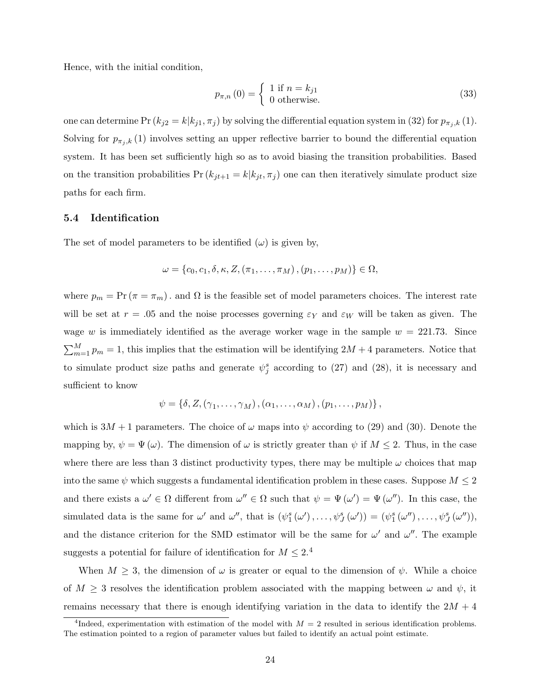Hence, with the initial condition,

$$
p_{\pi,n}(0) = \begin{cases} 1 \text{ if } n = k_{j1} \\ 0 \text{ otherwise.} \end{cases}
$$
 (33)

one can determine Pr $(k_{j2} = k|k_{j1}, \pi_j)$  by solving the differential equation system in (32) for  $p_{\pi_j,k}(1)$ . Solving for  $p_{\pi_i,k}$  (1) involves setting an upper reflective barrier to bound the differential equation system. It has been set sufficiently high so as to avoid biasing the transition probabilities. Based on the transition probabilities  $Pr(k_{jt+1} = k | k_{jt}, \pi_j)$  one can then iteratively simulate product size paths for each firm.

#### 5.4 Identification

The set of model parameters to be identified  $(\omega)$  is given by,

$$
\omega = \{c_0, c_1, \delta, \kappa, Z, (\pi_1, \ldots, \pi_M), (p_1, \ldots, p_M)\} \in \Omega,
$$

where  $p_m = Pr(\pi = \pi_m)$  and  $\Omega$  is the feasible set of model parameters choices. The interest rate will be set at  $r = .05$  and the noise processes governing  $\varepsilon_Y$  and  $\varepsilon_W$  will be taken as given. The wage w is immediately identified as the average worker wage in the sample  $w = 221.73$ . Since  $\sum_{m=1}^{M} p_m = 1$ , this implies that the estimation will be identifying  $2M + 4$  parameters. Notice that to simulate product size paths and generate  $\psi_j^s$  according to (27) and (28), it is necessary and sufficient to know

$$
\psi = \left\{ \delta, Z, (\gamma_1, \ldots, \gamma_M), (\alpha_1, \ldots, \alpha_M), (p_1, \ldots, p_M) \right\},\,
$$

which is  $3M + 1$  parameters. The choice of  $\omega$  maps into  $\psi$  according to (29) and (30). Denote the mapping by,  $\psi = \Psi(\omega)$ . The dimension of  $\omega$  is strictly greater than  $\psi$  if  $M \leq 2$ . Thus, in the case where there are less than 3 distinct productivity types, there may be multiple  $\omega$  choices that map into the same  $\psi$  which suggests a fundamental identification problem in these cases. Suppose  $M \leq 2$ and there exists a  $\omega' \in \Omega$  different from  $\omega'' \in \Omega$  such that  $\psi = \Psi(\omega') = \Psi(\omega'')$ . In this case, the simulated data is the same for  $\omega'$  and  $\omega''$ , that is  $(\psi_1^s(\omega'), \ldots, \psi_J^s(\omega')) = (\psi_1^s(\omega''), \ldots, \psi_J^s(\omega''))$ , and the distance criterion for the SMD estimator will be the same for  $\omega'$  and  $\omega''$ . The example suggests a potential for failure of identification for  $M \leq 2.4$ 

When  $M \geq 3$ , the dimension of  $\omega$  is greater or equal to the dimension of  $\psi$ . While a choice of  $M \geq 3$  resolves the identification problem associated with the mapping between  $\omega$  and  $\psi$ , it remains necessary that there is enough identifying variation in the data to identify the  $2M + 4$ 

<sup>&</sup>lt;sup>4</sup>Indeed, experimentation with estimation of the model with  $M = 2$  resulted in serious identification problems. The estimation pointed to a region of parameter values but failed to identify an actual point estimate.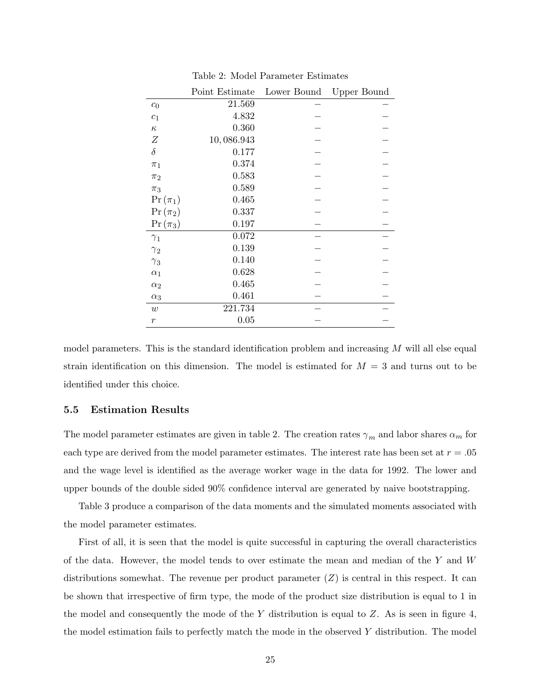|                  | Point Estimate | Lower Bound | Upper Bound |  |
|------------------|----------------|-------------|-------------|--|
| $\mathfrak{c}_0$ | 21.569         |             |             |  |
| $\mathfrak{c}_1$ | 4.832          |             |             |  |
| $\kappa$         | 0.360          |             |             |  |
| Ζ                | 10,086.943     |             |             |  |
| $\delta$         | 0.177          |             |             |  |
| $\pi_1$          | 0.374          |             |             |  |
| $\pi_2$          | 0.583          |             |             |  |
| $\pi_3$          | 0.589          |             |             |  |
| $Pr(\pi_1)$      | 0.465          |             |             |  |
| $Pr(\pi_2)$      | 0.337          |             |             |  |
| $Pr(\pi_3)$      | 0.197          |             |             |  |
| $\gamma_1$       | 0.072          |             |             |  |
| $\gamma_2$       | 0.139          |             |             |  |
| $\gamma_3$       | 0.140          |             |             |  |
| $\alpha_1$       | 0.628          |             |             |  |
| $\alpha_2$       | 0.465          |             |             |  |
| $\alpha_3$       | 0.461          |             |             |  |
| $\boldsymbol{w}$ | 221.734        |             |             |  |
| $\boldsymbol{r}$ | 0.05           |             |             |  |

Table 2: Model Parameter Estimates

model parameters. This is the standard identification problem and increasing  $M$  will all else equal strain identification on this dimension. The model is estimated for  $M = 3$  and turns out to be identified under this choice.

#### 5.5 Estimation Results

The model parameter estimates are given in table 2. The creation rates  $\gamma_m$  and labor shares  $\alpha_m$  for each type are derived from the model parameter estimates. The interest rate has been set at  $r = .05$ and the wage level is identified as the average worker wage in the data for 1992. The lower and upper bounds of the double sided 90% confidence interval are generated by naive bootstrapping.

Table 3 produce a comparison of the data moments and the simulated moments associated with the model parameter estimates.

First of all, it is seen that the model is quite successful in capturing the overall characteristics of the data. However, the model tends to over estimate the mean and median of the Y and W distributions somewhat. The revenue per product parameter  $(Z)$  is central in this respect. It can be shown that irrespective of firm type, the mode of the product size distribution is equal to 1 in the model and consequently the mode of the  $Y$  distribution is equal to  $Z$ . As is seen in figure 4, the model estimation fails to perfectly match the mode in the observed Y distribution. The model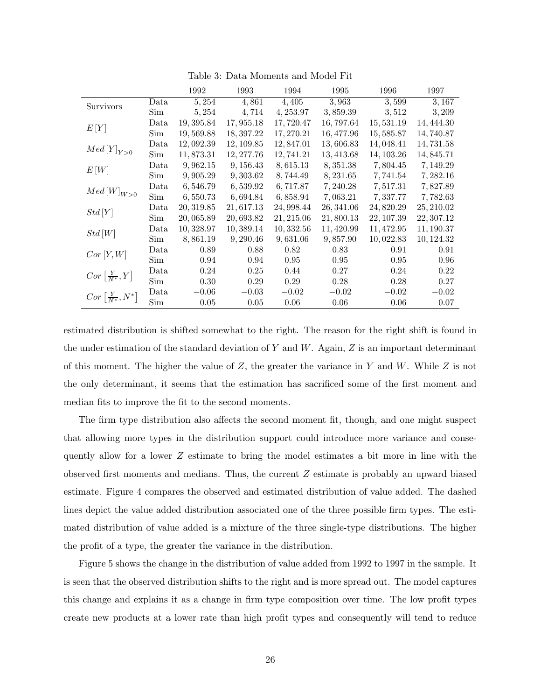|                                      |      | 1992       | 1993       | 1994       | 1995       | 1996       | 1997       |
|--------------------------------------|------|------------|------------|------------|------------|------------|------------|
| Survivors                            | Data | 5,254      | 4,861      | 4,405      | 3,963      | 3,599      | 3,167      |
|                                      | Sim  | 5,254      | 4,714      | 4, 253.97  | 3,859.39   | 3,512      | 3,209      |
| E[Y]                                 | Data | 19, 395.84 | 17,955.18  | 17,720.47  | 16,797.64  | 15, 531.19 | 14, 444.30 |
|                                      | Sim  | 19,569.88  | 18, 397.22 | 17, 270.21 | 16, 477.96 | 15,585.87  | 14,740.87  |
| $Med[Y]_{Y>0}$                       | Data | 12,092.39  | 12, 109.85 | 12,847.01  | 13,606.83  | 14,048.41  | 14,731.58  |
|                                      | Sim  | 11,873.31  | 12, 277.76 | 12,741.21  | 13, 413.68 | 14, 103.26 | 14,845.71  |
| E[W]                                 | Data | 9,962.15   | 9, 156.43  | 8,615.13   | 8, 351.38  | 7,804.45   | 7,149.29   |
|                                      | Sim  | 9,905.29   | 9,303.62   | 8,744.49   | 8, 231.65  | 7,741.54   | 7,282.16   |
| $Med[W]_{W>0}$                       | Data | 6,546.79   | 6,539.92   | 6,717.87   | 7,240.28   | 7,517.31   | 7,827.89   |
|                                      | Sim  | 6,550.73   | 6,694.84   | 6,858.94   | 7,063.21   | 7,337.77   | 7,782.63   |
| Std[Y]                               | Data | 20, 319.85 | 21,617.13  | 24, 998.44 | 26, 341.06 | 24,820.29  | 25, 210.02 |
|                                      | Sim  | 20,065.89  | 20,693.82  | 21, 215.06 | 21,800.13  | 22, 107.39 | 22, 307.12 |
| Std[W]                               | Data | 10, 328.97 | 10, 389.14 | 10, 332.56 | 11, 420.99 | 11, 472.95 | 11, 190.37 |
|                                      | Sim  | 8,861.19   | 9,290.46   | 9,631.06   | 9,857.90   | 10,022.83  | 10, 124.32 |
| Cor[Y, W]                            | Data | 0.89       | 0.88       | 0.82       | 0.83       | 0.91       | 0.91       |
|                                      | Sim  | 0.94       | 0.94       | 0.95       | 0.95       | 0.95       | 0.96       |
| $Cor\left[\frac{Y}{N^*}, Y\right]$   | Data | 0.24       | 0.25       | 0.44       | 0.27       | 0.24       | 0.22       |
|                                      | Sim  | 0.30       | 0.29       | 0.29       | 0.28       | 0.28       | 0.27       |
| $Cor\left[\frac{Y}{N^*}, N^*\right]$ | Data | $-0.06$    | $-0.03$    | $-0.02$    | $-0.02$    | $-0.02$    | $-0.02$    |
|                                      | Sim  | 0.05       | 0.05       | 0.06       | 0.06       | 0.06       | 0.07       |

Table 3: Data Moments and Model Fit

estimated distribution is shifted somewhat to the right. The reason for the right shift is found in the under estimation of the standard deviation of Y and W. Again,  $Z$  is an important determinant of this moment. The higher the value of  $Z$ , the greater the variance in Y and W. While Z is not the only determinant, it seems that the estimation has sacrificed some of the first moment and median fits to improve the fit to the second moments.

The firm type distribution also affects the second moment fit, though, and one might suspect that allowing more types in the distribution support could introduce more variance and consequently allow for a lower Z estimate to bring the model estimates a bit more in line with the observed first moments and medians. Thus, the current Z estimate is probably an upward biased estimate. Figure 4 compares the observed and estimated distribution of value added. The dashed lines depict the value added distribution associated one of the three possible firm types. The estimated distribution of value added is a mixture of the three single-type distributions. The higher the profit of a type, the greater the variance in the distribution.

Figure 5 shows the change in the distribution of value added from 1992 to 1997 in the sample. It is seen that the observed distribution shifts to the right and is more spread out. The model captures this change and explains it as a change in firm type composition over time. The low profit types create new products at a lower rate than high profit types and consequently will tend to reduce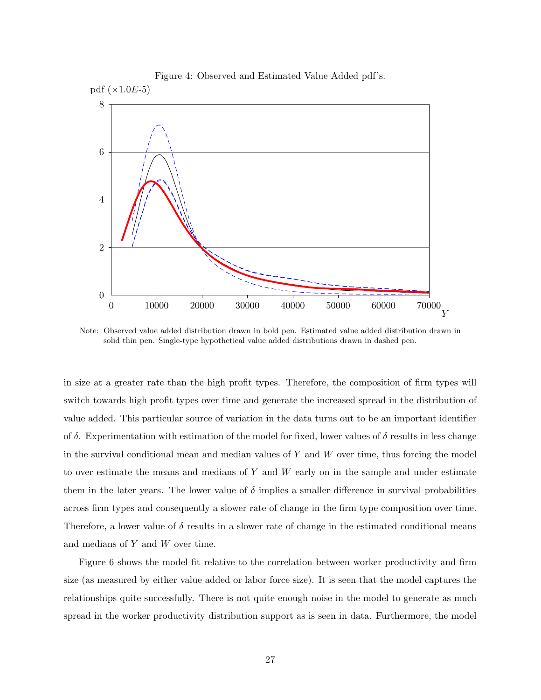

Figure 4: Observed and Estimated Value Added pdf's.

Note: Observed value added distribution drawn in bold pen. Estimated value added distribution drawn in

solid thin pen. Single-type hypothetical value added distributions drawn in dashed pen.

in size at a greater rate than the high profit types. Therefore, the composition of firm types will switch towards high profit types over time and generate the increased spread in the distribution of value added. This particular source of variation in the data turns out to be an important identifier of  $\delta$ . Experimentation with estimation of the model for fixed, lower values of  $\delta$  results in less change in the survival conditional mean and median values of  $Y$  and  $W$  over time, thus forcing the model to over estimate the means and medians of Y and W early on in the sample and under estimate them in the later years. The lower value of  $\delta$  implies a smaller difference in survival probabilities across firm types and consequently a slower rate of change in the firm type composition over time. Therefore, a lower value of  $\delta$  results in a slower rate of change in the estimated conditional means and medians of  $Y$  and  $W$  over time.

Figure 6 shows the model fit relative to the correlation between worker productivity and firm size (as measured by either value added or labor force size). It is seen that the model captures the relationships quite successfully. There is not quite enough noise in the model to generate as much spread in the worker productivity distribution support as is seen in data. Furthermore, the model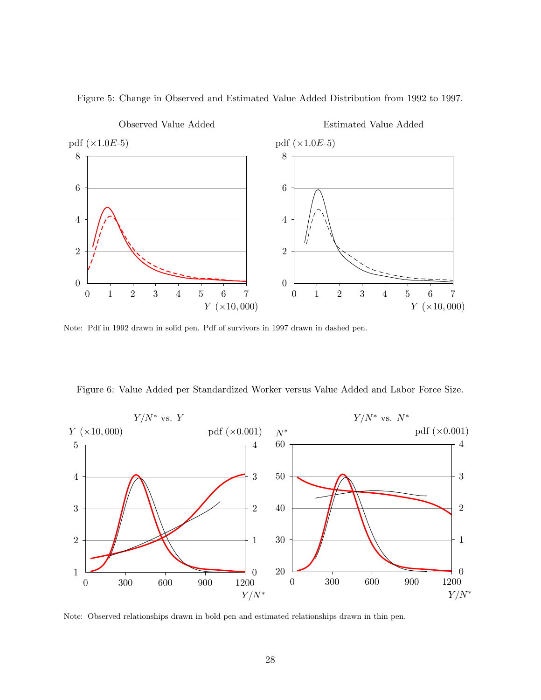

Figure 5: Change in Observed and Estimated Value Added Distribution from 1992 to 1997.

Note: Pdf in 1992 drawn in solid pen. Pdf of survivors in 1997 drawn in dashed pen.



Figure 6: Value Added per Standardized Worker versus Value Added and Labor Force Size.

Note: Observed relationships drawn in bold pen and estimated relationships drawn in thin pen.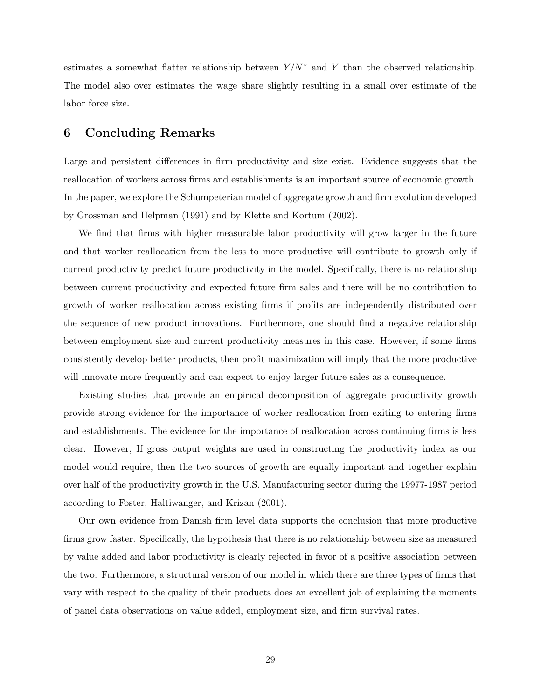estimates a somewhat flatter relationship between  $Y/N^*$  and Y than the observed relationship. The model also over estimates the wage share slightly resulting in a small over estimate of the labor force size.

## 6 Concluding Remarks

Large and persistent differences in firm productivity and size exist. Evidence suggests that the reallocation of workers across firms and establishments is an important source of economic growth. In the paper, we explore the Schumpeterian model of aggregate growth and firm evolution developed by Grossman and Helpman (1991) and by Klette and Kortum (2002).

We find that firms with higher measurable labor productivity will grow larger in the future and that worker reallocation from the less to more productive will contribute to growth only if current productivity predict future productivity in the model. Specifically, there is no relationship between current productivity and expected future firm sales and there will be no contribution to growth of worker reallocation across existing firms if profits are independently distributed over the sequence of new product innovations. Furthermore, one should find a negative relationship between employment size and current productivity measures in this case. However, if some firms consistently develop better products, then profit maximization will imply that the more productive will innovate more frequently and can expect to enjoy larger future sales as a consequence.

Existing studies that provide an empirical decomposition of aggregate productivity growth provide strong evidence for the importance of worker reallocation from exiting to entering firms and establishments. The evidence for the importance of reallocation across continuing firms is less clear. However, If gross output weights are used in constructing the productivity index as our model would require, then the two sources of growth are equally important and together explain over half of the productivity growth in the U.S. Manufacturing sector during the 19977-1987 period according to Foster, Haltiwanger, and Krizan (2001).

Our own evidence from Danish firm level data supports the conclusion that more productive firms grow faster. Specifically, the hypothesis that there is no relationship between size as measured by value added and labor productivity is clearly rejected in favor of a positive association between the two. Furthermore, a structural version of our model in which there are three types of firms that vary with respect to the quality of their products does an excellent job of explaining the moments of panel data observations on value added, employment size, and firm survival rates.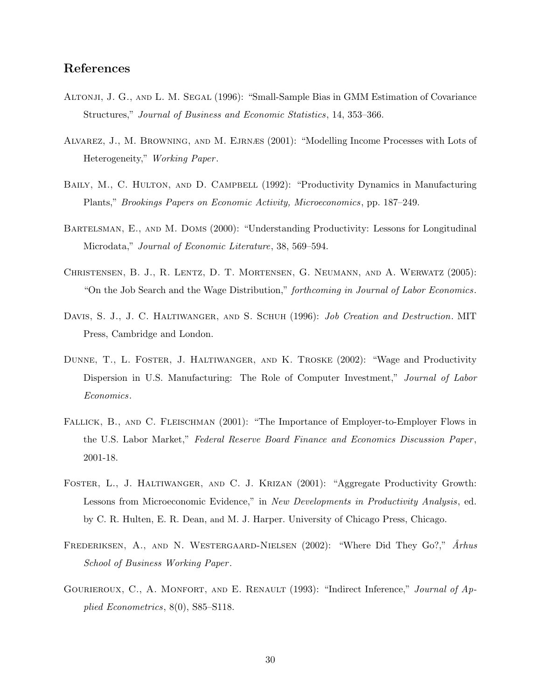## References

- Altonji, J. G., and L. M. Segal (1996): "Small-Sample Bias in GMM Estimation of Covariance Structures," Journal of Business and Economic Statistics, 14, 353–366.
- Alvarez, J., M. Browning, and M. Ejrnæs (2001): "Modelling Income Processes with Lots of Heterogeneity," Working Paper.
- BAILY, M., C. HULTON, AND D. CAMPBELL (1992): "Productivity Dynamics in Manufacturing Plants," Brookings Papers on Economic Activity, Microeconomics, pp. 187–249.
- BARTELSMAN, E., AND M. DOMS (2000): "Understanding Productivity: Lessons for Longitudinal Microdata," Journal of Economic Literature, 38, 569–594.
- Christensen, B. J., R. Lentz, D. T. Mortensen, G. Neumann, and A. Werwatz (2005): "On the Job Search and the Wage Distribution," forthcoming in Journal of Labor Economics.
- DAVIS, S. J., J. C. HALTIWANGER, AND S. SCHUH (1996): *Job Creation and Destruction*. MIT Press, Cambridge and London.
- Dunne, T., L. Foster, J. Haltiwanger, and K. Troske (2002): "Wage and Productivity Dispersion in U.S. Manufacturing: The Role of Computer Investment," Journal of Labor Economics.
- FALLICK, B., AND C. FLEISCHMAN (2001): "The Importance of Employer-to-Employer Flows in the U.S. Labor Market," Federal Reserve Board Finance and Economics Discussion Paper, 2001-18.
- Foster, L., J. Haltiwanger, and C. J. Krizan (2001): "Aggregate Productivity Growth: Lessons from Microeconomic Evidence," in New Developments in Productivity Analysis, ed. by C. R. Hulten, E. R. Dean, and M. J. Harper. University of Chicago Press, Chicago.
- FREDERIKSEN, A., AND N. WESTERGAARD-NIELSEN  $(2002)$ : "Where Did They Go?,"  $Århus$ School of Business Working Paper .
- GOURIEROUX, C., A. MONFORT, AND E. RENAULT (1993): "Indirect Inference," Journal of Applied Econometrics, 8(0), S85–S118.